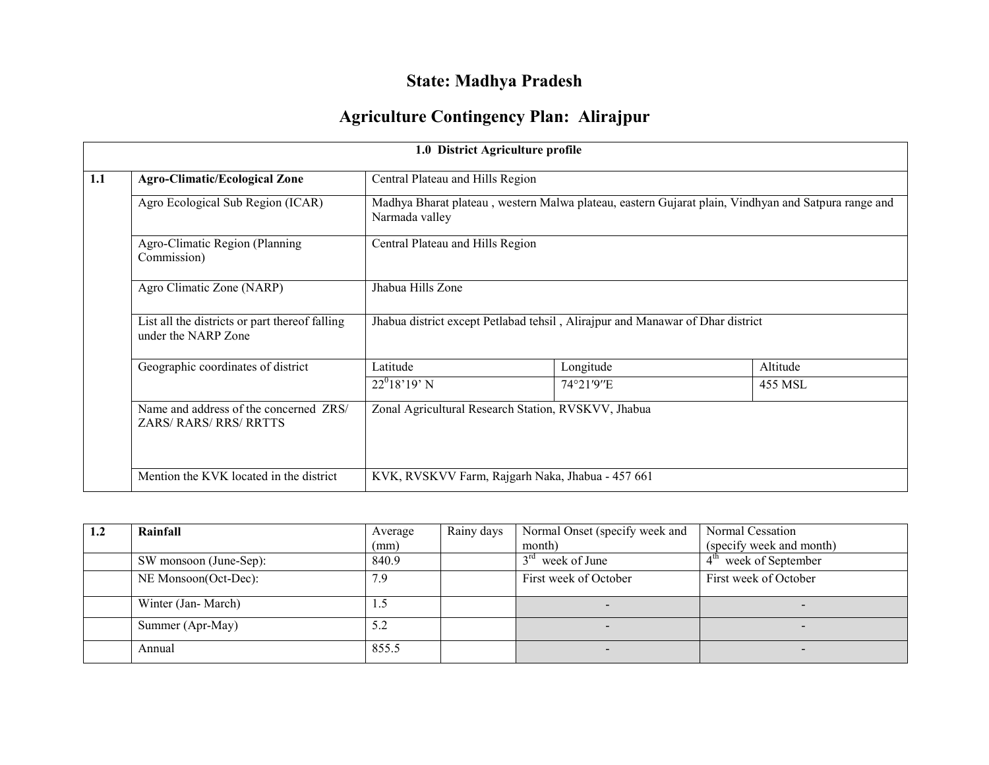# **State: Madhya Pradesh**

## **Agriculture Contingency Plan: Alirajpur**

|     |                                                                         |                                                                                                                       | 1.0 District Agriculture profile                    |          |  |  |
|-----|-------------------------------------------------------------------------|-----------------------------------------------------------------------------------------------------------------------|-----------------------------------------------------|----------|--|--|
| 1.1 | <b>Agro-Climatic/Ecological Zone</b>                                    |                                                                                                                       | Central Plateau and Hills Region                    |          |  |  |
|     | Agro Ecological Sub Region (ICAR)                                       | Madhya Bharat plateau, western Malwa plateau, eastern Gujarat plain, Vindhyan and Satpura range and<br>Narmada valley |                                                     |          |  |  |
|     | Agro-Climatic Region (Planning<br>Commission)                           | Central Plateau and Hills Region                                                                                      |                                                     |          |  |  |
|     | Agro Climatic Zone (NARP)                                               | Jhabua Hills Zone                                                                                                     |                                                     |          |  |  |
|     | List all the districts or part thereof falling<br>under the NARP Zone   | Jhabua district except Petlabad tehsil, Alirajpur and Manawar of Dhar district                                        |                                                     |          |  |  |
|     | Geographic coordinates of district                                      | Latitude                                                                                                              | Longitude                                           | Altitude |  |  |
|     |                                                                         | $22^018'19'$ N                                                                                                        | 74°21'9"E                                           | 455 MSL  |  |  |
|     | Name and address of the concerned ZRS/<br><b>ZARS/ RARS/ RRS/ RRTTS</b> |                                                                                                                       | Zonal Agricultural Research Station, RVSKVV, Jhabua |          |  |  |
|     | Mention the KVK located in the district                                 |                                                                                                                       | KVK, RVSKVV Farm, Rajgarh Naka, Jhabua - 457 661    |          |  |  |

| 1.2 | Rainfall               | Average | Rainy days | Normal Onset (specify week and  | Normal Cessation         |
|-----|------------------------|---------|------------|---------------------------------|--------------------------|
|     |                        | (mm)    |            | month)                          | (specify week and month) |
|     | SW monsoon (June-Sep): | 840.9   |            | $3^{\text{rd}}$<br>week of June | $4th$ week of September  |
|     | NE Monsoon(Oct-Dec):   | 7.9     |            | First week of October           | First week of October    |
|     | Winter (Jan-March)     | 1.5     |            | $\overline{\phantom{0}}$        |                          |
|     | Summer (Apr-May)       | 5.2     |            |                                 |                          |
|     | Annual                 | 855.5   |            |                                 |                          |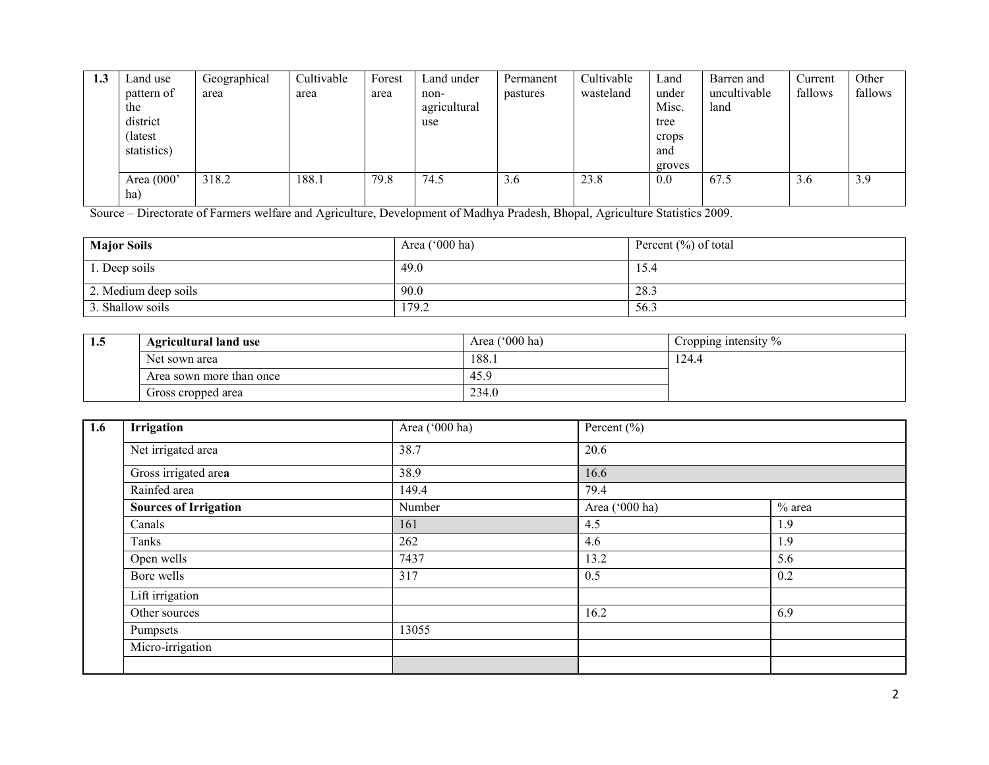| L.J | Land use     | Geographical | Cultivable | Forest | Land under   | Permanent | Cultivable | ∟and   | Barren and   | Current | Other   |
|-----|--------------|--------------|------------|--------|--------------|-----------|------------|--------|--------------|---------|---------|
|     | pattern of   | area         | area       | area   | non-         | pastures  | wasteland  | under  | uncultivable | fallows | fallows |
|     | the          |              |            |        | agricultural |           |            | Misc.  | land         |         |         |
|     | district     |              |            |        | use          |           |            | tree   |              |         |         |
|     | (latest)     |              |            |        |              |           |            | crops  |              |         |         |
|     | statistics)  |              |            |        |              |           |            | and    |              |         |         |
|     |              |              |            |        |              |           |            | groves |              |         |         |
|     | Area $(000)$ | 318.2        | 188.1      | 79.8   | 74.5         | 3.6       | 23.8       | 0.0    | 67.5         | 3.6     | 3.9     |
|     | ha)          |              |            |        |              |           |            |        |              |         |         |

Source – Directorate of Farmers welfare and Agriculture, Development of Madhya Pradesh, Bhopal, Agriculture Statistics 2009.

| <b>Major Soils</b>   | Area $('000 ha)$ | Percent $(\% )$ of total |
|----------------------|------------------|--------------------------|
| 1. Deep soils        | 49.0             | 15.4                     |
| 2. Medium deep soils | 90.0             | 28.3                     |
| 3. Shallow soils     | 179.2            | 56.3                     |

| 1.5 | <b>Agricultural land use</b> | Area $('000 ha)$ | Cropping intensity % |
|-----|------------------------------|------------------|----------------------|
|     | Net sown area                | 188.i            | .24.4                |
|     | Area sown more than once     | 45.9             |                      |
|     | Gross cropped area           | 234.0            |                      |

| 1.6 | Irrigation                   | Area ('000 ha) | Percent $(\% )$ |          |
|-----|------------------------------|----------------|-----------------|----------|
|     | Net irrigated area           | 38.7           | 20.6            |          |
|     | Gross irrigated area         | 38.9           | 16.6            |          |
|     | Rainfed area                 | 149.4          | 79.4            |          |
|     | <b>Sources of Irrigation</b> | Number         | Area ('000 ha)  | $%$ area |
|     | Canals                       | 161            | 4.5             | 1.9      |
|     | Tanks                        | 262            | 4.6             | 1.9      |
|     | Open wells                   | 7437           | 13.2            | 5.6      |
|     | Bore wells                   | 317            | 0.5             | 0.2      |
|     | Lift irrigation              |                |                 |          |
|     | Other sources                |                | 16.2            | 6.9      |
|     | Pumpsets                     | 13055          |                 |          |
|     | Micro-irrigation             |                |                 |          |
|     |                              |                |                 |          |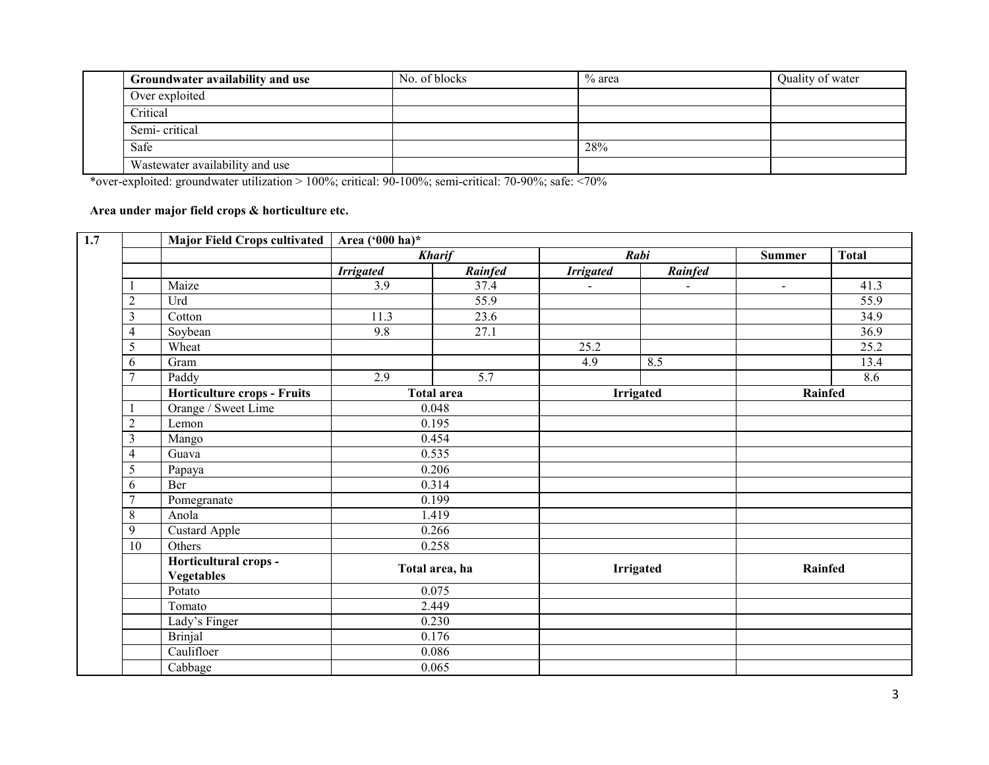| Groundwater availability and use | No. of blocks | $\%$ area | Quality of water |
|----------------------------------|---------------|-----------|------------------|
| Over exploited                   |               |           |                  |
| Critical                         |               |           |                  |
| Semi-critical                    |               |           |                  |
| Safe                             |               | 28%       |                  |
| Wastewater availability and use  |               |           |                  |

\*over-exploited: groundwater utilization > 100%; critical: 90-100%; semi-critical: 70-90%; safe: <70%

#### **Area under major field crops & horticulture etc.**

|                | <b>Major Field Crops cultivated</b>        | Area ('000 ha)*  |                   |                  |                  |               |                   |
|----------------|--------------------------------------------|------------------|-------------------|------------------|------------------|---------------|-------------------|
|                |                                            | <b>Kharif</b>    |                   |                  | Rabi             | <b>Summer</b> | <b>Total</b>      |
|                |                                            | <b>Irrigated</b> | <b>Rainfed</b>    | <b>Irrigated</b> | Rainfed          |               |                   |
|                | Maize                                      | 3.9              | 37.4              |                  |                  | $\sim$        | 41.3              |
| $\overline{2}$ | Urd                                        |                  | $\overline{55.9}$ |                  |                  |               | $\overline{55.9}$ |
| 3              | Cotton                                     | 11.3             | 23.6              |                  |                  |               | 34.9              |
| 4              | Soybean                                    | 9.8              | 27.1              |                  |                  |               | 36.9              |
| 5              | Wheat                                      |                  |                   | 25.2             |                  |               | 25.2              |
| 6              | Gram                                       |                  |                   | 4.9              | 8.5              |               | 13.4              |
| 7              | Paddy                                      | 2.9              | 5.7               |                  |                  |               | 8.6               |
|                | Horticulture crops - Fruits                |                  | <b>Total area</b> |                  | <b>Irrigated</b> | Rainfed       |                   |
|                | Orange / Sweet Lime                        |                  | 0.048             |                  |                  |               |                   |
| $\overline{2}$ | Lemon                                      |                  | 0.195             |                  |                  |               |                   |
| 3              | Mango                                      | 0.454            |                   |                  |                  |               |                   |
| 4              | Guava                                      |                  | 0.535             |                  |                  |               |                   |
| 5              | Papaya                                     |                  | 0.206             |                  |                  |               |                   |
| 6              | Ber                                        |                  | 0.314             |                  |                  |               |                   |
| 7              | Pomegranate                                |                  | 0.199             |                  |                  |               |                   |
| 8              | Anola                                      | 1.419            |                   |                  |                  |               |                   |
| 9              | Custard Apple                              | 0.266            |                   |                  |                  |               |                   |
| 10             | Others                                     |                  | 0.258             |                  |                  |               |                   |
|                | Horticultural crops -<br><b>Vegetables</b> | Total area, ha   |                   |                  | <b>Irrigated</b> | Rainfed       |                   |
|                | Potato                                     | 0.075            |                   |                  |                  |               |                   |
|                | Tomato                                     | 2.449            |                   |                  |                  |               |                   |
|                | Lady's Finger                              | 0.230            |                   |                  |                  |               |                   |
|                | <b>Brinjal</b>                             |                  | 0.176             |                  |                  |               |                   |
|                | Caulifloer                                 |                  | 0.086             |                  |                  |               |                   |
|                | Cabbage                                    |                  | 0.065             |                  |                  |               |                   |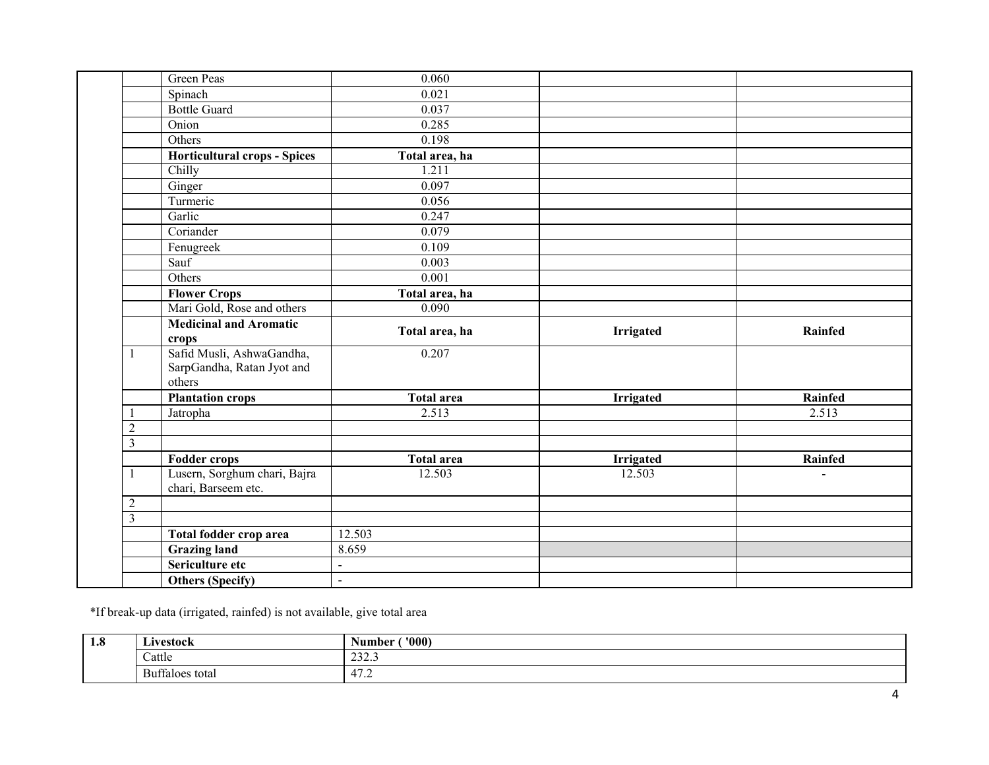|                | Green Peas                                                        | 0.060             |                  |         |
|----------------|-------------------------------------------------------------------|-------------------|------------------|---------|
|                | Spinach                                                           | 0.021             |                  |         |
|                | <b>Bottle Guard</b>                                               | 0.037             |                  |         |
|                | Onion                                                             | 0.285             |                  |         |
|                | Others                                                            | 0.198             |                  |         |
|                | <b>Horticultural crops - Spices</b>                               | Total area, ha    |                  |         |
|                | Chilly                                                            | 1.211             |                  |         |
|                | Ginger                                                            | 0.097             |                  |         |
|                | Turmeric                                                          | 0.056             |                  |         |
|                | Garlic                                                            | 0.247             |                  |         |
|                | Coriander                                                         | 0.079             |                  |         |
|                | Fenugreek                                                         | 0.109             |                  |         |
|                | Sauf                                                              | 0.003             |                  |         |
|                | Others                                                            | 0.001             |                  |         |
|                | <b>Flower Crops</b>                                               | Total area, ha    |                  |         |
|                | Mari Gold, Rose and others                                        | 0.090             |                  |         |
|                | <b>Medicinal and Aromatic</b><br>crops                            | Total area, ha    | <b>Irrigated</b> | Rainfed |
|                | Safid Musli, AshwaGandha,<br>SarpGandha, Ratan Jyot and<br>others | 0.207             |                  |         |
|                | <b>Plantation crops</b>                                           | <b>Total area</b> | <b>Irrigated</b> | Rainfed |
|                | Jatropha                                                          | 2.513             |                  | 2.513   |
| $\overline{2}$ |                                                                   |                   |                  |         |
| 3              |                                                                   |                   |                  |         |
|                | <b>Fodder crops</b>                                               | <b>Total area</b> | <b>Irrigated</b> | Rainfed |
|                | Lusern, Sorghum chari, Bajra<br>chari, Barseem etc.               | 12.503            | 12.503           |         |
| $\mathbf{2}$   |                                                                   |                   |                  |         |
| $\overline{3}$ |                                                                   |                   |                  |         |
|                | Total fodder crop area                                            | 12.503            |                  |         |
|                | <b>Grazing land</b>                                               | 8.659             |                  |         |
|                |                                                                   |                   |                  |         |
|                | Sericulture etc                                                   | $\sim$            |                  |         |

\*If break-up data (irrigated, rainfed) is not available, give total area

| - 41<br>1.0 | uvestock.                      | '000<br>$\blacksquare$<br>sumber<br>$\sim$ $\sim$ |
|-------------|--------------------------------|---------------------------------------------------|
|             | Cattle                         | $\sim$<br>ن. كەن ك                                |
|             | $\alpha$<br>Buttaloes<br>total | $\overline{A}$<br>41<br>$\cdots$                  |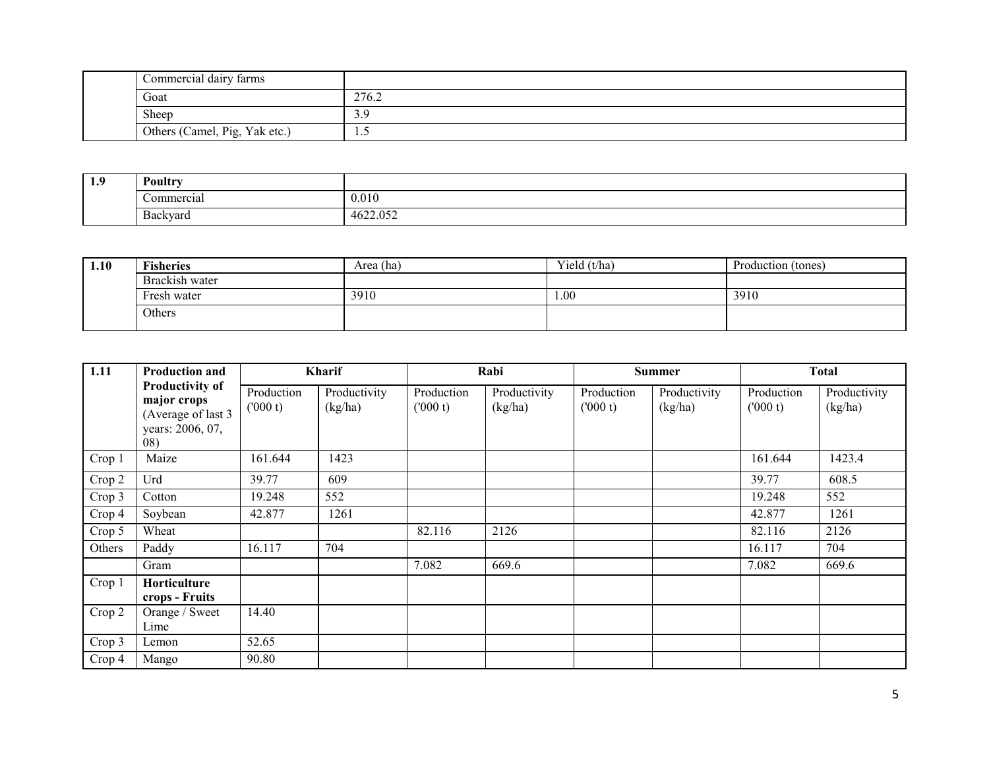| Commercial dairy farms        |       |
|-------------------------------|-------|
| Goat                          | 276.2 |
| Sheep                         | 3.5   |
| Others (Camel, Pig, Yak etc.) | .     |

| 1.9 | Poultry                              |          |
|-----|--------------------------------------|----------|
|     | Commercial                           | 0.010    |
|     | $\overline{\phantom{a}}$<br>Backvard | 4622.052 |

| 1.10 | <b>Fisheries</b> | Area (ha) | Yield (t/ha) | Production (tones) |
|------|------------------|-----------|--------------|--------------------|
|      | Brackish water   |           |              |                    |
|      | Fresh water      | 3910      | .00.         | 3910               |
|      | Others           |           |              |                    |
|      |                  |           |              |                    |

| 1.11   | <b>Production and</b>                                                                  | Kharif                |                         |                       | Rabi                    |                       | <b>Summer</b>           |                       | <b>Total</b>            |
|--------|----------------------------------------------------------------------------------------|-----------------------|-------------------------|-----------------------|-------------------------|-----------------------|-------------------------|-----------------------|-------------------------|
|        | <b>Productivity of</b><br>major crops<br>(Average of last 3<br>years: 2006, 07,<br>08) | Production<br>(000 t) | Productivity<br>(kg/ha) | Production<br>(000 t) | Productivity<br>(kg/ha) | Production<br>(000 t) | Productivity<br>(kg/ha) | Production<br>(000 t) | Productivity<br>(kg/ha) |
| Crop 1 | Maize                                                                                  | 161.644               | 1423                    |                       |                         |                       |                         | 161.644               | 1423.4                  |
| Crop 2 | Urd                                                                                    | 39.77                 | 609                     |                       |                         |                       |                         | 39.77                 | 608.5                   |
| Crop 3 | Cotton                                                                                 | 19.248                | 552                     |                       |                         |                       |                         | 19.248                | 552                     |
| Crop 4 | Soybean                                                                                | 42.877                | 1261                    |                       |                         |                       |                         | 42.877                | 1261                    |
| Crop 5 | Wheat                                                                                  |                       |                         | 82.116                | 2126                    |                       |                         | 82.116                | 2126                    |
| Others | Paddy                                                                                  | 16.117                | 704                     |                       |                         |                       |                         | 16.117                | 704                     |
|        | Gram                                                                                   |                       |                         | 7.082                 | 669.6                   |                       |                         | 7.082                 | 669.6                   |
| Crop 1 | Horticulture<br>crops - Fruits                                                         |                       |                         |                       |                         |                       |                         |                       |                         |
| Crop 2 | Orange / Sweet<br>Lime                                                                 | 14.40                 |                         |                       |                         |                       |                         |                       |                         |
| Crop 3 | Lemon                                                                                  | 52.65                 |                         |                       |                         |                       |                         |                       |                         |
| Crop 4 | Mango                                                                                  | 90.80                 |                         |                       |                         |                       |                         |                       |                         |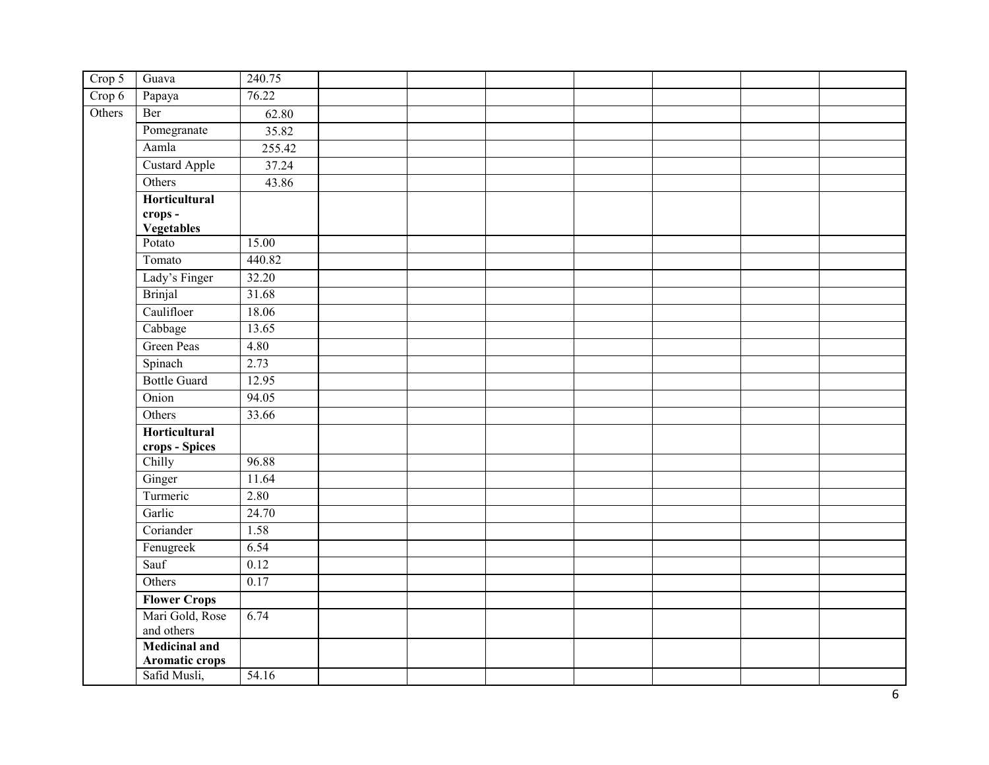| Crop 5 | Guava                    | 240.75 |  |  |  |  |
|--------|--------------------------|--------|--|--|--|--|
| Crop 6 | Papaya                   | 76.22  |  |  |  |  |
| Others | Ber                      | 62.80  |  |  |  |  |
|        | Pomegranate              | 35.82  |  |  |  |  |
|        | Aamla                    | 255.42 |  |  |  |  |
|        | <b>Custard Apple</b>     | 37.24  |  |  |  |  |
|        | Others                   | 43.86  |  |  |  |  |
|        | Horticultural            |        |  |  |  |  |
|        | crops-                   |        |  |  |  |  |
|        | Vegetables<br>Potato     | 15.00  |  |  |  |  |
|        | Tomato                   | 440.82 |  |  |  |  |
|        | Lady's Finger            | 32.20  |  |  |  |  |
|        | <b>Brinjal</b>           | 31.68  |  |  |  |  |
|        | Caulifloer               | 18.06  |  |  |  |  |
|        | Cabbage                  | 13.65  |  |  |  |  |
|        | Green Peas               | 4.80   |  |  |  |  |
|        |                          | 2.73   |  |  |  |  |
|        | Spinach                  |        |  |  |  |  |
|        | <b>Bottle Guard</b>      | 12.95  |  |  |  |  |
|        | Onion                    | 94.05  |  |  |  |  |
|        | Others                   | 33.66  |  |  |  |  |
|        | Horticultural            |        |  |  |  |  |
|        | crops - Spices<br>Chilly | 96.88  |  |  |  |  |
|        | Ginger                   | 11.64  |  |  |  |  |
|        | Turmeric                 | 2.80   |  |  |  |  |
|        | Garlic                   | 24.70  |  |  |  |  |
|        | Coriander                | 1.58   |  |  |  |  |
|        | Fenugreek                | 6.54   |  |  |  |  |
|        | Sauf                     | 0.12   |  |  |  |  |
|        | Others                   | 0.17   |  |  |  |  |
|        | <b>Flower Crops</b>      |        |  |  |  |  |
|        | Mari Gold, Rose          | 6.74   |  |  |  |  |
|        | and others               |        |  |  |  |  |
|        | <b>Medicinal and</b>     |        |  |  |  |  |
|        | Aromatic crops           |        |  |  |  |  |
|        | Safid Musli,             | 54.16  |  |  |  |  |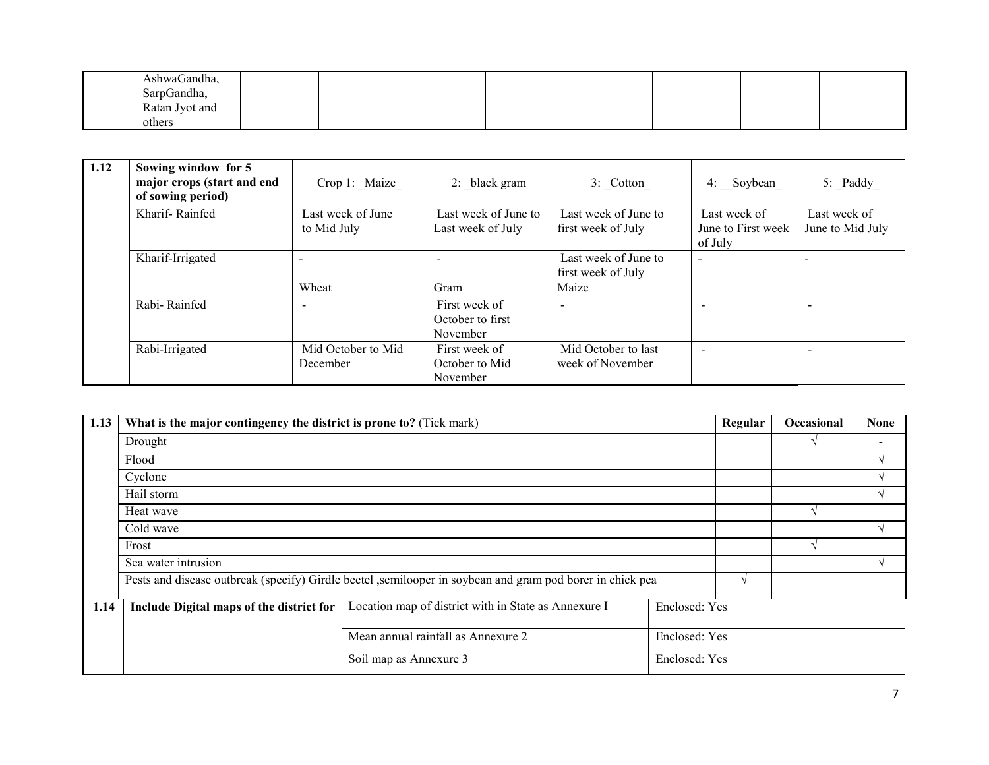| AshwaGandha,   |  |  |  |  |
|----------------|--|--|--|--|
| SarpGandha,    |  |  |  |  |
| Ratan Jyot and |  |  |  |  |
| others         |  |  |  |  |

| 1.12 | Sowing window for 5<br>major crops (start and end<br>of sowing period) | Crop 1: Maize                    | 2: black gram                                 | 3: Cotton                                  | 4: Soybean                                    | $5:$ Paddy                       |
|------|------------------------------------------------------------------------|----------------------------------|-----------------------------------------------|--------------------------------------------|-----------------------------------------------|----------------------------------|
|      | Kharif-Rainfed                                                         | Last week of June<br>to Mid July | Last week of June to<br>Last week of July     | Last week of June to<br>first week of July | Last week of<br>June to First week<br>of July | Last week of<br>June to Mid July |
|      | Kharif-Irrigated                                                       |                                  |                                               | Last week of June to<br>first week of July | $\overline{\phantom{a}}$                      |                                  |
|      |                                                                        | Wheat                            | Gram                                          | Maize                                      |                                               |                                  |
|      | Rabi-Rainfed                                                           |                                  | First week of<br>October to first<br>November | $\overline{\phantom{a}}$                   | $\overline{\phantom{0}}$                      | $\overline{\phantom{0}}$         |
|      | Rabi-Irrigated                                                         | Mid October to Mid<br>December   | First week of<br>October to Mid<br>November   | Mid October to last<br>week of November    | $\overline{\phantom{a}}$                      | $\overline{\phantom{0}}$         |

| 1.13 | What is the major contingency the district is prone to? (Tick mark) |                                                                                                           |               | Regular       | Occasional | <b>None</b> |
|------|---------------------------------------------------------------------|-----------------------------------------------------------------------------------------------------------|---------------|---------------|------------|-------------|
|      | Drought                                                             |                                                                                                           |               |               |            |             |
|      | Flood                                                               |                                                                                                           |               |               |            |             |
|      | Cyclone                                                             |                                                                                                           |               |               |            |             |
|      | Hail storm                                                          |                                                                                                           |               |               |            |             |
|      | Heat wave                                                           |                                                                                                           |               |               |            |             |
|      | Cold wave                                                           |                                                                                                           |               |               |            |             |
|      | Frost                                                               |                                                                                                           |               |               |            |             |
|      | Sea water intrusion                                                 |                                                                                                           |               |               |            |             |
|      |                                                                     | Pests and disease outbreak (specify) Girdle beetel ,semilooper in soybean and gram pod borer in chick pea |               |               |            |             |
| 1.14 | Include Digital maps of the district for                            | Location map of district with in State as Annexure I                                                      | Enclosed: Yes |               |            |             |
|      |                                                                     | Mean annual rainfall as Annexure 2<br>Enclosed: Yes                                                       |               |               |            |             |
|      |                                                                     | Soil map as Annexure 3                                                                                    |               | Enclosed: Yes |            |             |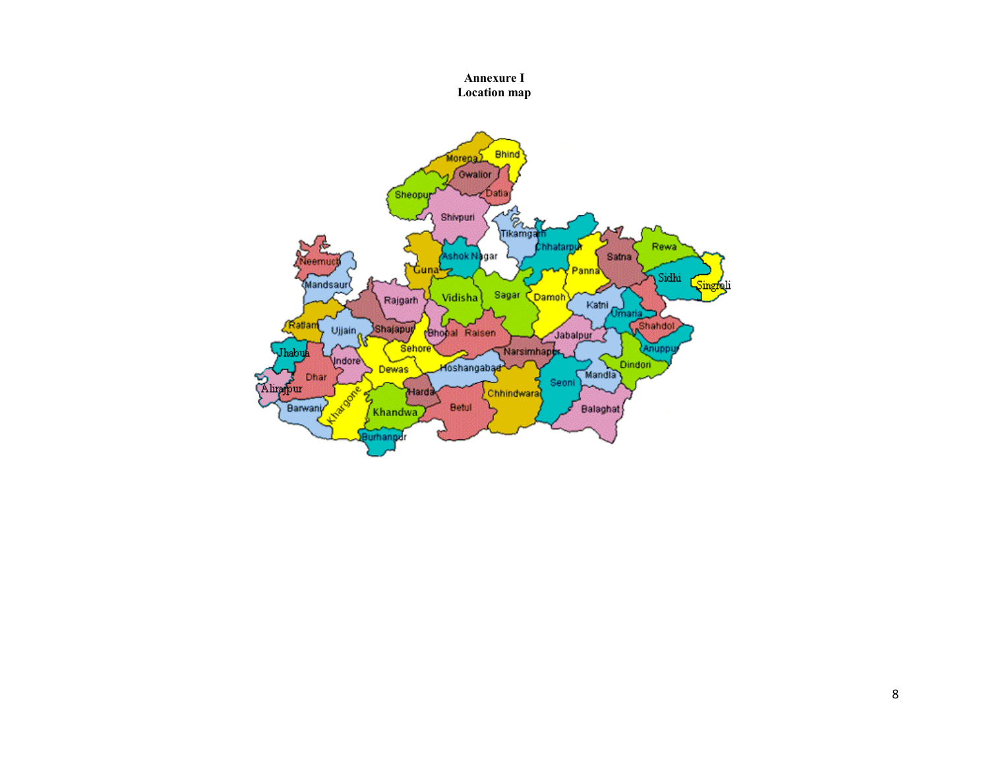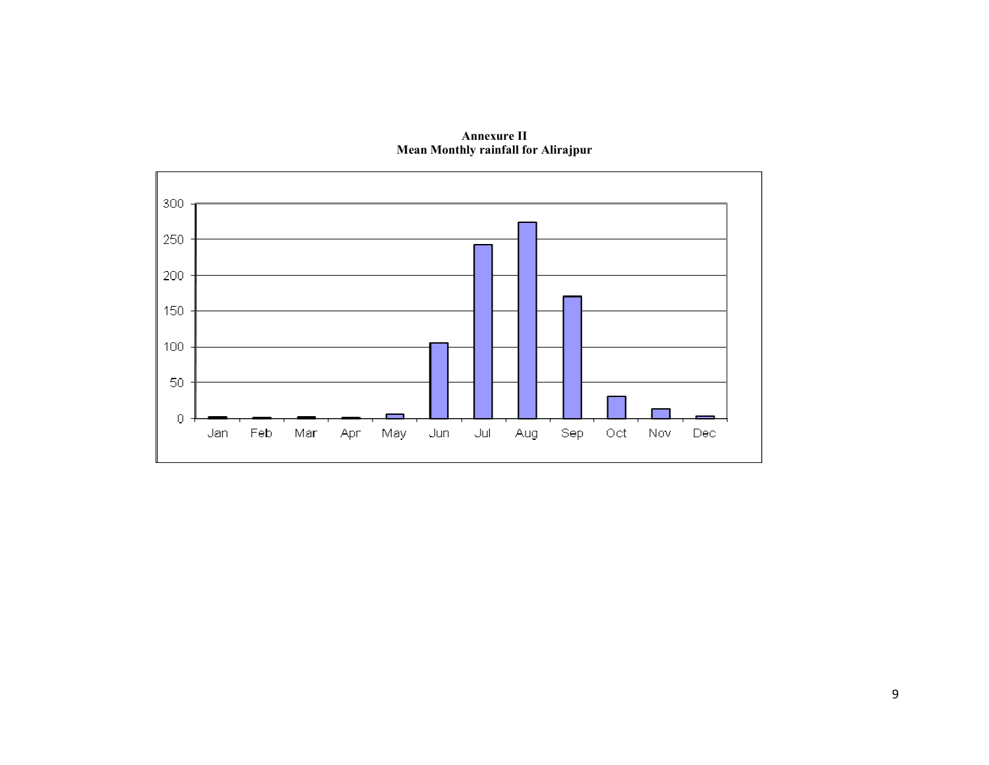

**Annexure II Mean Monthly rainfall for Alirajpur**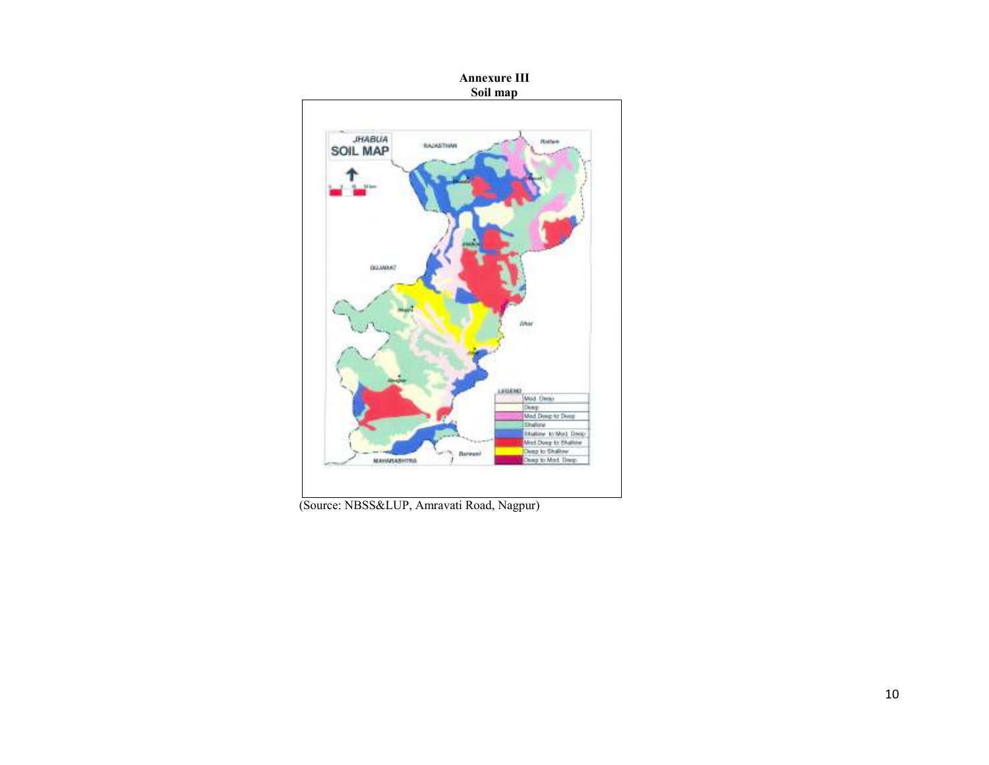

(Source: NBSS&LUP, Amravati Road, Nagpur)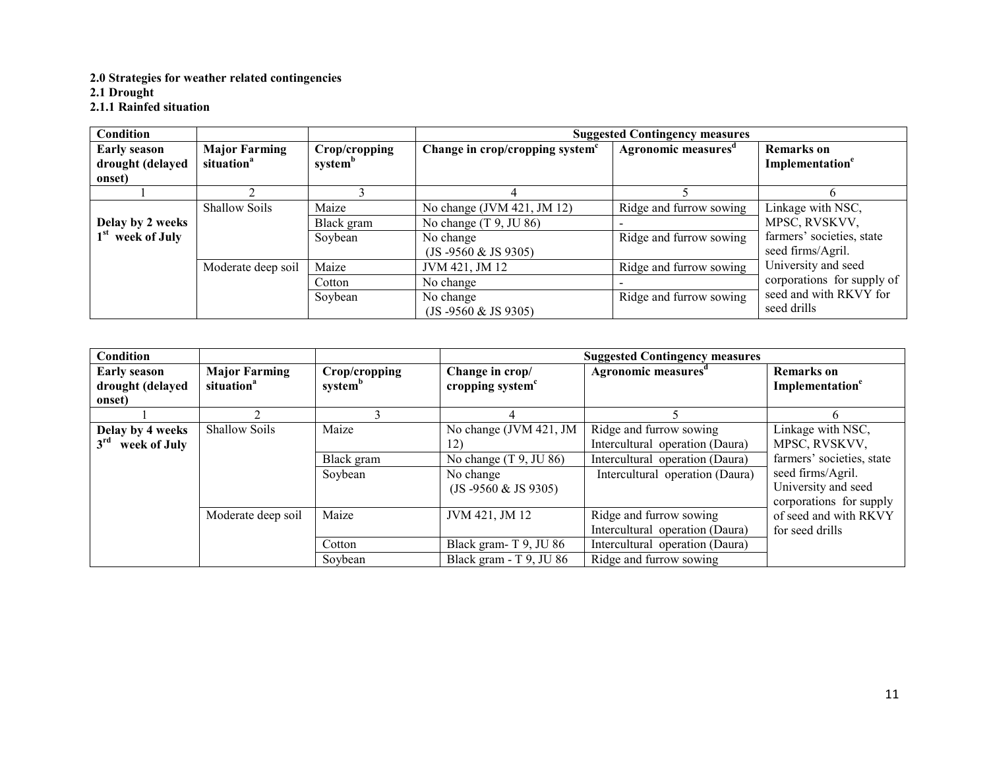#### **2.0 Strategies for weather related contingencies**

**2.1 Drought** 

**2.1.1 Rainfed situation**

| <b>Condition</b>                                  |                                                |                                      | <b>Suggested Contingency measures</b>       |                                 |                                                  |  |  |  |
|---------------------------------------------------|------------------------------------------------|--------------------------------------|---------------------------------------------|---------------------------------|--------------------------------------------------|--|--|--|
| <b>Early season</b><br>drought (delayed<br>onset) | <b>Major Farming</b><br>situation <sup>a</sup> | Crop/cropping<br>system <sup>b</sup> | Change in crop/cropping system <sup>c</sup> | Agronomic measures <sup>d</sup> | <b>Remarks</b> on<br>Implementation <sup>e</sup> |  |  |  |
|                                                   |                                                |                                      |                                             |                                 |                                                  |  |  |  |
|                                                   | <b>Shallow Soils</b>                           | Maize                                | No change (JVM 421, JM 12)                  | Ridge and furrow sowing         | Linkage with NSC,                                |  |  |  |
| Delay by 2 weeks                                  |                                                | Black gram                           | No change $(T 9, JU 86)$                    |                                 | MPSC, RVSKVV,                                    |  |  |  |
| 1 <sup>st</sup> week of July                      |                                                | Soybean                              | No change<br>$(JS - 9560 & JS 9305)$        | Ridge and furrow sowing         | farmers' societies, state<br>seed firms/Agril.   |  |  |  |
|                                                   | Moderate deep soil                             | Maize                                | JVM 421, JM 12                              | Ridge and furrow sowing         | University and seed                              |  |  |  |
|                                                   |                                                | Cotton                               | No change                                   |                                 | corporations for supply of                       |  |  |  |
|                                                   |                                                | Soybean                              | No change<br>(JS -9560 & JS 9305)           | Ridge and furrow sowing         | seed and with RKVY for<br>seed drills            |  |  |  |

| Condition                                           |                                                |                                      |                                                                                                   | <b>Suggested Contingency measures</b>                                                                                            |                                                                                                                                        |  |
|-----------------------------------------------------|------------------------------------------------|--------------------------------------|---------------------------------------------------------------------------------------------------|----------------------------------------------------------------------------------------------------------------------------------|----------------------------------------------------------------------------------------------------------------------------------------|--|
| <b>Early season</b><br>drought (delayed<br>onset)   | <b>Major Farming</b><br>situation <sup>a</sup> | Crop/cropping<br>system <sup>b</sup> | Change in crop/<br>cropping system <sup>c</sup>                                                   | Agronomic measures <sup>d</sup>                                                                                                  | <b>Remarks</b> on<br>Implementation <sup>e</sup>                                                                                       |  |
|                                                     |                                                |                                      | $\overline{4}$                                                                                    |                                                                                                                                  |                                                                                                                                        |  |
| Delay by 4 weeks<br>3 <sup>rd</sup><br>week of July | <b>Shallow Soils</b>                           | Maize<br>Black gram<br>Soybean       | No change (JVM 421, JM<br>12)<br>No change $(T 9, JU 86)$<br>No change<br>$(JS - 9560 & JS 9305)$ | Ridge and furrow sowing<br>Intercultural operation (Daura)<br>Intercultural operation (Daura)<br>Intercultural operation (Daura) | Linkage with NSC,<br>MPSC, RVSKVV,<br>farmers' societies, state<br>seed firms/Agril.<br>University and seed<br>corporations for supply |  |
|                                                     | Moderate deep soil                             | Maize<br>Cotton                      | JVM 421, JM 12<br>Black gram-T 9, JU 86                                                           | Ridge and furrow sowing<br>Intercultural operation (Daura)<br>Intercultural operation (Daura)                                    | of seed and with RKVY<br>for seed drills                                                                                               |  |
|                                                     |                                                | Soybean                              | Black gram - T 9, JU 86                                                                           | Ridge and furrow sowing                                                                                                          |                                                                                                                                        |  |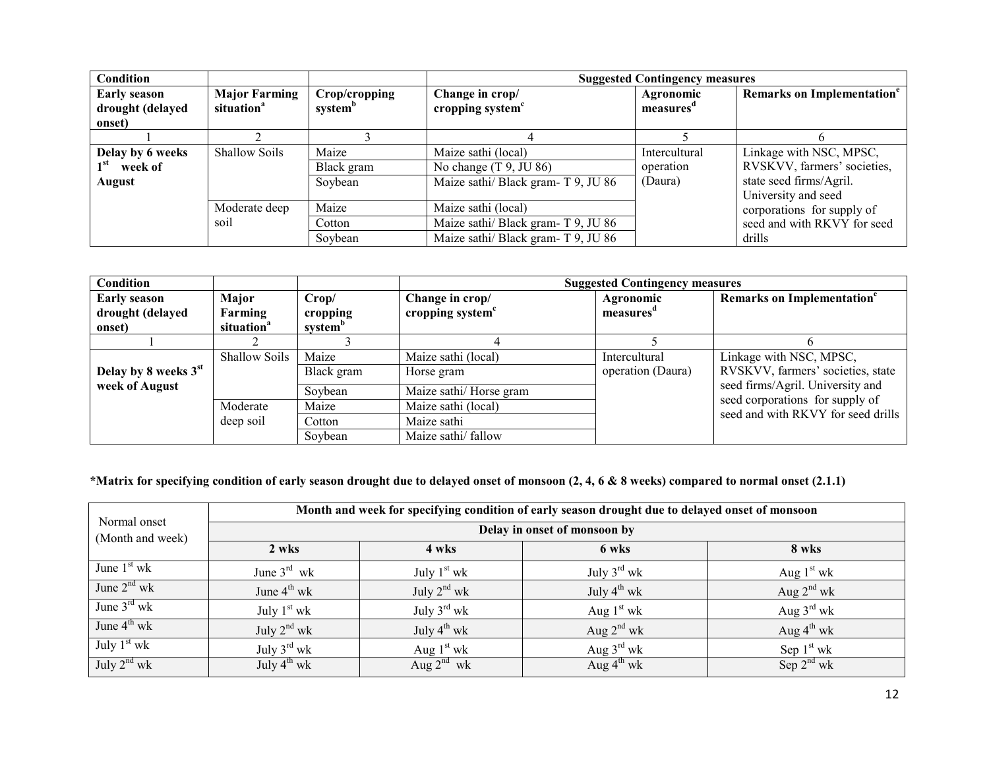| Condition                                                |                                                |                                      |                                                                                                   | <b>Suggested Contingency measures</b> |                                                                                                          |  |  |  |
|----------------------------------------------------------|------------------------------------------------|--------------------------------------|---------------------------------------------------------------------------------------------------|---------------------------------------|----------------------------------------------------------------------------------------------------------|--|--|--|
| <b>Early season</b><br>drought (delayed<br>onset)        | <b>Major Farming</b><br>situation <sup>a</sup> | Crop/cropping<br>system <sup>b</sup> | Change in crop/<br>cropping system <sup>c</sup>                                                   | Agronomic<br>measures <sup>a</sup>    | Remarks on Implementation <sup>e</sup>                                                                   |  |  |  |
|                                                          |                                                |                                      |                                                                                                   |                                       |                                                                                                          |  |  |  |
| Delay by 6 weeks<br>1 <sup>st</sup><br>week of<br>August | <b>Shallow Soils</b>                           | Maize<br>Black gram<br>Soybean       | Maize sathi (local)<br>No change $(T 9, JU 86)$<br>Maize sathi/ Black gram- T 9, JU 86            | Intercultural<br>operation<br>(Daura) | Linkage with NSC, MPSC,<br>RVSKVV, farmers' societies,<br>state seed firms/Agril.<br>University and seed |  |  |  |
|                                                          | Moderate deep<br>soil                          | Maize<br>Cotton<br>Soybean           | Maize sathi (local)<br>Maize sathi/ Black gram- T 9, JU 86<br>Maize sathi/ Black gram- T 9, JU 86 |                                       | corporations for supply of<br>seed and with RKVY for seed<br>drills                                      |  |  |  |

| Condition                                         |                                            |                                          |                                                 | <b>Suggested Contingency measures</b> |                                                                       |
|---------------------------------------------------|--------------------------------------------|------------------------------------------|-------------------------------------------------|---------------------------------------|-----------------------------------------------------------------------|
| <b>Early season</b><br>drought (delayed<br>onset) | Major<br>Farming<br>situation <sup>a</sup> | Crop/<br>cropping<br>system <sup>b</sup> | Change in crop/<br>cropping system <sup>c</sup> | Agronomic<br>measures <sup>a</sup>    | Remarks on Implementation <sup>e</sup>                                |
|                                                   |                                            |                                          |                                                 |                                       |                                                                       |
|                                                   | <b>Shallow Soils</b>                       | Maize                                    | Maize sathi (local)                             | Intercultural                         | Linkage with NSC, MPSC,                                               |
| Delay by 8 weeks 3 <sup>st</sup>                  |                                            | Black gram                               | Horse gram                                      | operation (Daura)                     | RVSKVV, farmers' societies, state                                     |
| week of August                                    |                                            | Soybean                                  | Maize sathi/Horse gram                          |                                       | seed firms/Agril. University and                                      |
|                                                   | Moderate                                   | Maize                                    | Maize sathi (local)                             |                                       | seed corporations for supply of<br>seed and with RKVY for seed drills |
|                                                   | deep soil                                  | Cotton                                   | Maize sathi                                     |                                       |                                                                       |
|                                                   |                                            | Soybean                                  | Maize sathi/fallow                              |                                       |                                                                       |

#### **\*Matrix for specifying condition of early season drought due to delayed onset of monsoon (2, 4, 6 & 8 weeks) compared to normal onset (2.1.1)**

|                                  | Month and week for specifying condition of early season drought due to delayed onset of monsoon |                         |                         |                        |  |  |  |  |  |
|----------------------------------|-------------------------------------------------------------------------------------------------|-------------------------|-------------------------|------------------------|--|--|--|--|--|
| Normal onset<br>(Month and week) | Delay in onset of monsoon by                                                                    |                         |                         |                        |  |  |  |  |  |
|                                  | 2 wks                                                                                           | 4 wks                   | 6 wks                   | 8 wks                  |  |  |  |  |  |
| June $1st$ wk                    | June $3^{rd}$ wk                                                                                | July $1st$ wk           | July $3^{\text{rd}}$ wk | Aug $1st$ wk           |  |  |  |  |  |
| June $2nd$ wk                    | June $4^{\text{th}}$ wk                                                                         | July $2^{nd}$ wk        | July $4^{th}$ wk        | Aug $2^{nd}$ wk        |  |  |  |  |  |
| June $3^{\text{rd}}$ wk          | July $1st$ wk                                                                                   | July $3^{\text{rd}}$ wk | Aug $1st$ wk            | Aug $3^{\text{rd}}$ wk |  |  |  |  |  |
| June $4^{\text{th}}$ wk          | July $2^{nd}$ wk                                                                                | July $4^{th}$ wk        | Aug $2^{nd}$ wk         | Aug $4^{th}$ wk        |  |  |  |  |  |
| July $1st$ wk                    | July $3^{\text{rd}}$ wk                                                                         | Aug $1st$ wk            | Aug $3^{\text{rd}}$ wk  | Sep $1st$ wk           |  |  |  |  |  |
| July $2^{nd}$ wk                 | July $4^{th}$ wk                                                                                | Aug $2^{nd}$ wk         | Aug $4^{\text{th}}$ wk  | Sep $2^{nd}$ wk        |  |  |  |  |  |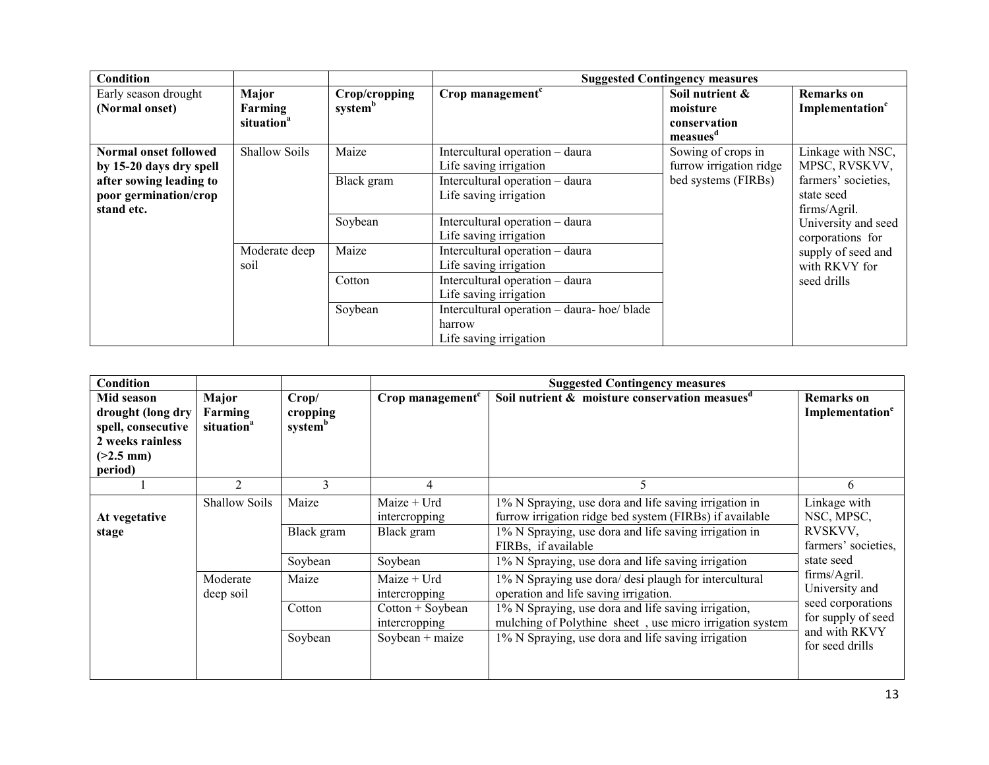| Condition                                                      |                                            |                                      | <b>Suggested Contingency measures</b>                                           |                                                                     |                                                   |  |  |  |
|----------------------------------------------------------------|--------------------------------------------|--------------------------------------|---------------------------------------------------------------------------------|---------------------------------------------------------------------|---------------------------------------------------|--|--|--|
| Early season drought<br>(Normal onset)                         | Major<br>Farming<br>situation <sup>a</sup> | Crop/cropping<br>system <sup>b</sup> | Crop management <sup>c</sup>                                                    | Soil nutrient &<br>moisture<br>conservation<br>measues <sup>d</sup> | <b>Remarks</b> on<br>Implementation <sup>e</sup>  |  |  |  |
| Normal onset followed<br>by 15-20 days dry spell               | Shallow Soils                              | Maize                                | Intercultural operation - daura<br>Life saving irrigation                       | Sowing of crops in<br>furrow irrigation ridge                       | Linkage with NSC,<br>MPSC, RVSKVV,                |  |  |  |
| after sowing leading to<br>poor germination/crop<br>stand etc. |                                            | Black gram                           | Intercultural operation - daura<br>Life saving irrigation                       | bed systems (FIRBs)                                                 | farmers' societies.<br>state seed<br>firms/Agril. |  |  |  |
|                                                                |                                            | Soybean                              | Intercultural operation - daura<br>Life saving irrigation                       |                                                                     | University and seed<br>corporations for           |  |  |  |
|                                                                | Moderate deep<br>soil                      | Maize                                | Intercultural operation - daura<br>Life saving irrigation                       |                                                                     | supply of seed and<br>with RKVY for               |  |  |  |
|                                                                |                                            | Cotton                               | Intercultural operation - daura<br>Life saving irrigation                       |                                                                     | seed drills                                       |  |  |  |
|                                                                |                                            | Soybean                              | Intercultural operation - daura- hoe/ blade<br>harrow<br>Life saving irrigation |                                                                     |                                                   |  |  |  |

| Condition                                                                                           |                                            |                                          |                                            | <b>Suggested Contingency measures</b>                                                                                                                                     |                                                                           |
|-----------------------------------------------------------------------------------------------------|--------------------------------------------|------------------------------------------|--------------------------------------------|---------------------------------------------------------------------------------------------------------------------------------------------------------------------------|---------------------------------------------------------------------------|
| Mid season<br>drought (long dry<br>spell, consecutive<br>2 weeks rainless<br>$(>2.5$ mm)<br>period) | Major<br>Farming<br>situation <sup>a</sup> | Crop/<br>cropping<br>system <sup>b</sup> | Crop management <sup>c</sup>               | Soil nutrient & moisture conservation measues <sup>d</sup>                                                                                                                | <b>Remarks</b> on<br>Implementation <sup>e</sup>                          |
|                                                                                                     | $\overline{2}$                             | 3                                        | 4                                          |                                                                                                                                                                           | 6                                                                         |
| At vegetative<br>stage                                                                              | Shallow Soils                              | Maize<br>Black gram                      | Maize + Urd<br>intercropping<br>Black gram | 1% N Spraying, use dora and life saving irrigation in<br>furrow irrigation ridge bed system (FIRBs) if available<br>1% N Spraying, use dora and life saving irrigation in | Linkage with<br>NSC, MPSC,<br>RVSKVV,                                     |
|                                                                                                     |                                            | Soybean                                  | Soybean                                    | FIRBs, if available<br>1% N Spraying, use dora and life saving irrigation                                                                                                 | farmers' societies.<br>state seed                                         |
|                                                                                                     | Moderate<br>deep soil                      | Maize                                    | Maize $+$ Urd<br>intercropping             | 1% N Spraying use dora/ desi plaugh for intercultural<br>operation and life saving irrigation.                                                                            | firms/Agril.<br>University and<br>seed corporations<br>for supply of seed |
|                                                                                                     |                                            | Cotton                                   | $Cottom + Sovbean$<br>intercropping        | 1% N Spraying, use dora and life saving irrigation,<br>mulching of Polythine sheet, use micro irrigation system                                                           |                                                                           |
|                                                                                                     |                                            | Soybean                                  | $Soybean + maize$                          | 1% N Spraying, use dora and life saving irrigation                                                                                                                        | and with RKVY<br>for seed drills                                          |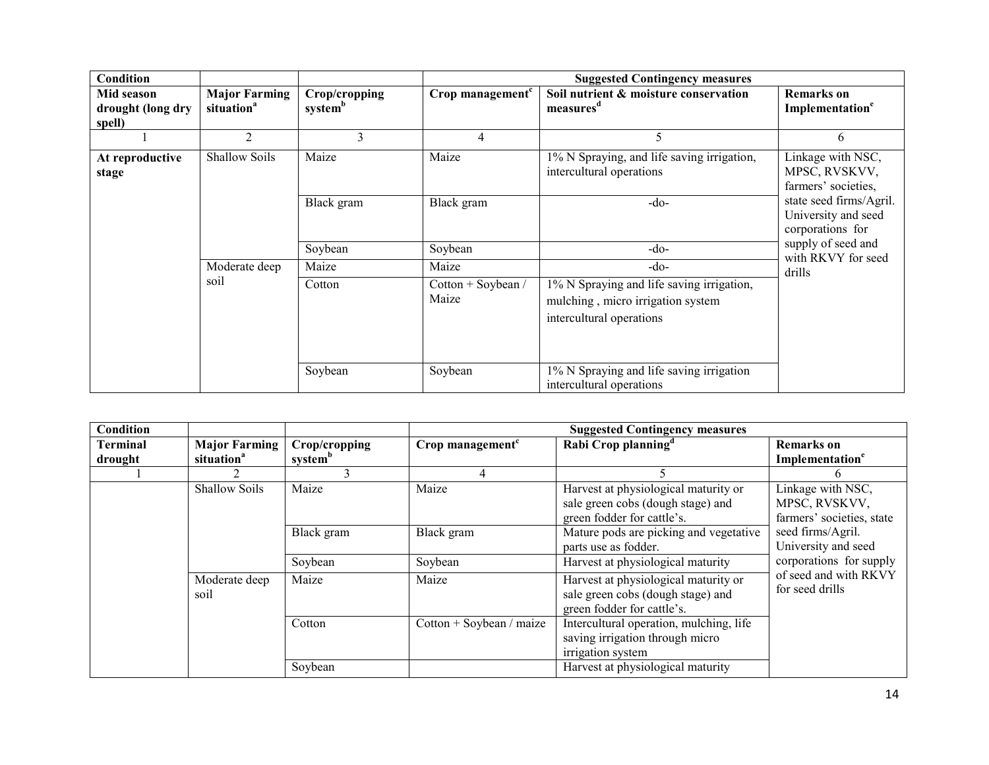| <b>Condition</b>                          |                                                |                                      |                              | <b>Suggested Contingency measures</b>                                                                      |                                                                    |
|-------------------------------------------|------------------------------------------------|--------------------------------------|------------------------------|------------------------------------------------------------------------------------------------------------|--------------------------------------------------------------------|
| Mid season<br>drought (long dry<br>spell) | <b>Major Farming</b><br>situation <sup>a</sup> | Crop/cropping<br>system <sup>b</sup> | Crop management <sup>c</sup> | Soil nutrient & moisture conservation<br>measures <sup>a</sup>                                             | Remarks on<br>Implementation <sup>e</sup>                          |
|                                           | $\overline{2}$                                 | 3                                    | 4                            | 5                                                                                                          | 6                                                                  |
| At reproductive<br>stage                  | <b>Shallow Soils</b>                           | Maize                                | Maize                        | 1% N Spraying, and life saving irrigation,<br>intercultural operations                                     | Linkage with NSC,<br>MPSC, RVSKVV,<br>farmers' societies,          |
|                                           |                                                | Black gram                           | Black gram                   | $-do-$                                                                                                     | state seed firms/Agril.<br>University and seed<br>corporations for |
|                                           |                                                | Soybean                              | Soybean                      | -do-                                                                                                       | supply of seed and<br>with RKVY for seed                           |
|                                           | Moderate deep                                  | Maize                                | Maize                        | $-do-$                                                                                                     | drills                                                             |
|                                           | soil                                           | Cotton                               | Cotton + Soybean /<br>Maize  | 1% N Spraying and life saving irrigation,<br>mulching, micro irrigation system<br>intercultural operations |                                                                    |
|                                           |                                                | Soybean                              | Soybean                      | 1% N Spraying and life saving irrigation<br>intercultural operations                                       |                                                                    |

| Condition                  |                                                |                                      |                                                                | <b>Suggested Contingency measures</b>                                                                   |                                                                 |
|----------------------------|------------------------------------------------|--------------------------------------|----------------------------------------------------------------|---------------------------------------------------------------------------------------------------------|-----------------------------------------------------------------|
| <b>Terminal</b><br>drought | <b>Major Farming</b><br>situation <sup>a</sup> | Crop/cropping<br>system <sup>b</sup> | Crop management <sup>c</sup>                                   | Rabi Crop planning <sup>d</sup>                                                                         | <b>Remarks</b> on<br>Implementation <sup>e</sup>                |
|                            |                                                |                                      |                                                                |                                                                                                         |                                                                 |
|                            | <b>Shallow Soils</b>                           | Maize                                | Maize                                                          | Harvest at physiological maturity or<br>sale green cobs (dough stage) and<br>green fodder for cattle's. | Linkage with NSC,<br>MPSC, RVSKVV,<br>farmers' societies, state |
| Black gram                 |                                                | Black gram                           | Mature pods are picking and vegetative<br>parts use as fodder. | seed firms/Agril.<br>University and seed                                                                |                                                                 |
|                            |                                                | Soybean                              | Soybean                                                        | Harvest at physiological maturity                                                                       | corporations for supply                                         |
|                            | Moderate deep<br>soil                          | Maize                                | Maize                                                          | Harvest at physiological maturity or<br>sale green cobs (dough stage) and<br>green fodder for cattle's. | of seed and with RKVY<br>for seed drills                        |
|                            |                                                | Cotton                               | Cotton + Soybean / maize                                       | Intercultural operation, mulching, life<br>saving irrigation through micro<br>irrigation system         |                                                                 |
|                            |                                                | Soybean                              |                                                                | Harvest at physiological maturity                                                                       |                                                                 |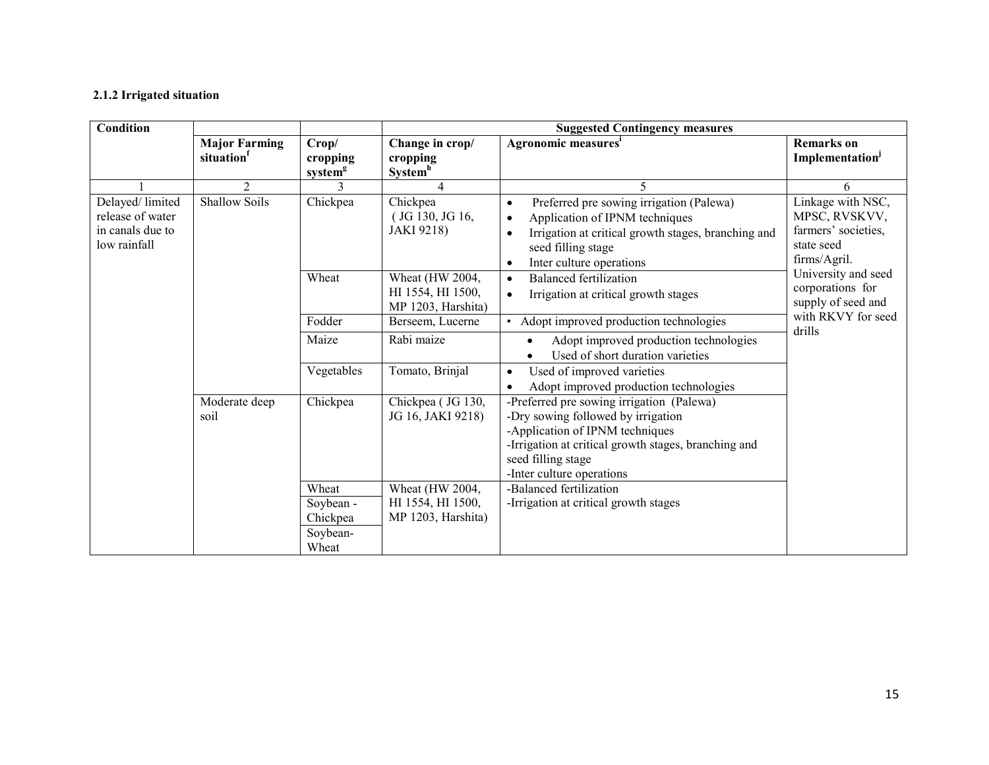#### **2.1.2 Irrigated situation**

| Condition                                                               |                                   |                                                     | <b>Suggested Contingency measures</b>                      |                                                                                                                                                                                                                                         |                                                                                         |  |
|-------------------------------------------------------------------------|-----------------------------------|-----------------------------------------------------|------------------------------------------------------------|-----------------------------------------------------------------------------------------------------------------------------------------------------------------------------------------------------------------------------------------|-----------------------------------------------------------------------------------------|--|
|                                                                         | <b>Major Farming</b><br>situation | Crop/<br>cropping<br>system <sup>g</sup>            | Change in crop/<br>cropping<br>System <sup>h</sup>         | Agronomic measures <sup>1</sup>                                                                                                                                                                                                         | <b>Remarks</b> on<br>Implementation <sup>J</sup>                                        |  |
|                                                                         | $\overline{2}$                    | $\mathbf{3}$                                        |                                                            | 5                                                                                                                                                                                                                                       | 6                                                                                       |  |
| Delayed/limited<br>release of water<br>in canals due to<br>low rainfall | <b>Shallow Soils</b>              | Chickpea                                            | Chickpea<br>$($ JG 130, JG 16,<br><b>JAKI 9218)</b>        | Preferred pre sowing irrigation (Palewa)<br>$\bullet$<br>Application of IPNM techniques<br>$\bullet$<br>Irrigation at critical growth stages, branching and<br>$\bullet$<br>seed filling stage<br>Inter culture operations<br>$\bullet$ | Linkage with NSC,<br>MPSC, RVSKVV,<br>farmers' societies,<br>state seed<br>firms/Agril. |  |
|                                                                         |                                   | Wheat                                               | Wheat (HW 2004,<br>HI 1554, HI 1500,<br>MP 1203, Harshita) | <b>Balanced fertilization</b><br>$\bullet$<br>Irrigation at critical growth stages<br>$\bullet$                                                                                                                                         | University and seed<br>corporations for<br>supply of seed and                           |  |
|                                                                         |                                   | Fodder                                              | Berseem, Lucerne                                           | Adopt improved production technologies                                                                                                                                                                                                  | with RKVY for seed                                                                      |  |
|                                                                         |                                   | Maize                                               | Rabi maize                                                 | Adopt improved production technologies<br>$\bullet$<br>Used of short duration varieties                                                                                                                                                 | drills                                                                                  |  |
|                                                                         |                                   | Vegetables                                          | Tomato, Brinjal                                            | Used of improved varieties<br>$\bullet$<br>Adopt improved production technologies                                                                                                                                                       |                                                                                         |  |
|                                                                         | Moderate deep<br>soil             | Chickpea                                            | Chickpea (JG 130,<br>JG 16, JAKI 9218)                     | -Preferred pre sowing irrigation (Palewa)<br>-Dry sowing followed by irrigation<br>-Application of IPNM techniques<br>-Irrigation at critical growth stages, branching and<br>seed filling stage<br>-Inter culture operations           |                                                                                         |  |
|                                                                         |                                   | Wheat<br>Soybean -<br>Chickpea<br>Soybean-<br>Wheat | Wheat (HW 2004,<br>HI 1554, HI 1500,<br>MP 1203, Harshita) | -Balanced fertilization<br>-Irrigation at critical growth stages                                                                                                                                                                        |                                                                                         |  |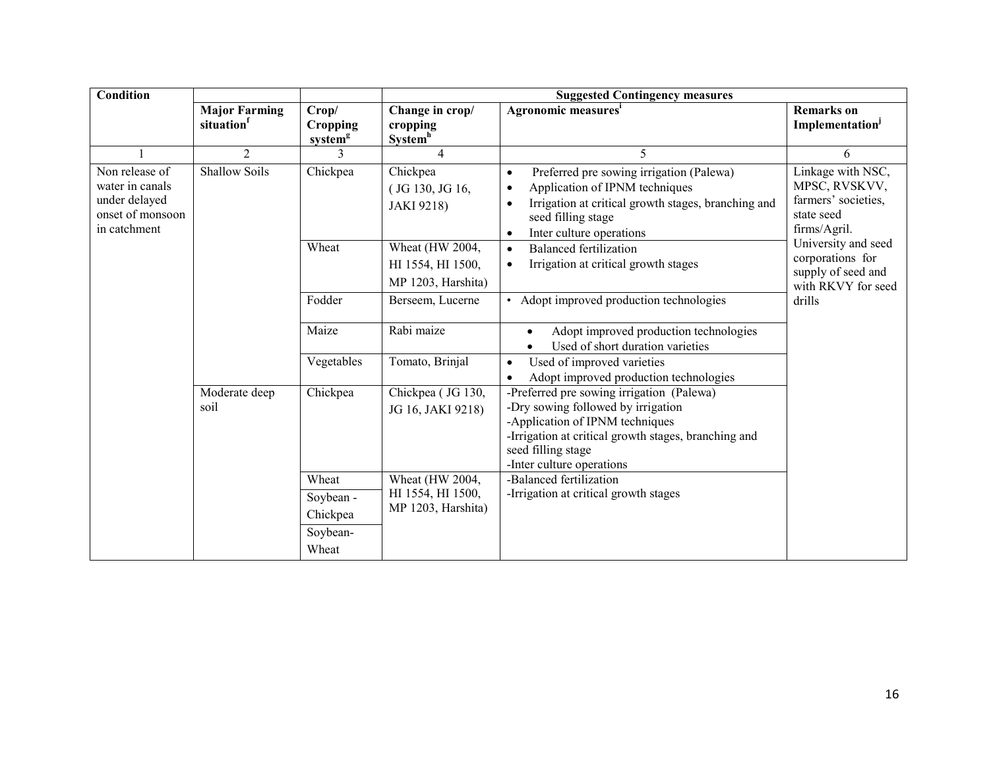| <b>Condition</b>                                                                       |                                                                                 |                                          | <b>Suggested Contingency measures</b>                      |                                                                                                                                                                                                                                         |                                                                                         |  |
|----------------------------------------------------------------------------------------|---------------------------------------------------------------------------------|------------------------------------------|------------------------------------------------------------|-----------------------------------------------------------------------------------------------------------------------------------------------------------------------------------------------------------------------------------------|-----------------------------------------------------------------------------------------|--|
|                                                                                        | <b>Major Farming</b><br>situation                                               | Crop/<br>Cropping<br>system <sup>g</sup> | Change in crop/<br>cropping<br><b>System</b> <sup>h</sup>  | Agronomic measures <sup>i</sup>                                                                                                                                                                                                         | <b>Remarks</b> on<br>Implementation <sup>j</sup>                                        |  |
| $\mathbf{1}$                                                                           | $\overline{2}$                                                                  | 3                                        | $\overline{4}$                                             | 5                                                                                                                                                                                                                                       | 6                                                                                       |  |
| Non release of<br>water in canals<br>under delayed<br>onset of monsoon<br>in catchment | <b>Shallow Soils</b>                                                            | Chickpea                                 | Chickpea<br>(JG 130, JG 16,<br><b>JAKI 9218)</b>           | Preferred pre sowing irrigation (Palewa)<br>$\bullet$<br>Application of IPNM techniques<br>$\bullet$<br>Irrigation at critical growth stages, branching and<br>$\bullet$<br>seed filling stage<br>Inter culture operations<br>$\bullet$ | Linkage with NSC,<br>MPSC, RVSKVV,<br>farmers' societies.<br>state seed<br>firms/Agril. |  |
|                                                                                        |                                                                                 | Wheat                                    | Wheat (HW 2004,<br>HI 1554, HI 1500,<br>MP 1203, Harshita) | <b>Balanced fertilization</b><br>$\bullet$<br>Irrigation at critical growth stages<br>$\bullet$                                                                                                                                         | University and seed<br>corporations for<br>supply of seed and<br>with RKVY for seed     |  |
|                                                                                        |                                                                                 | Fodder                                   | Berseem, Lucerne                                           | • Adopt improved production technologies                                                                                                                                                                                                | drills                                                                                  |  |
|                                                                                        |                                                                                 | Maize                                    | Rabi maize                                                 | Adopt improved production technologies<br>$\bullet$<br>Used of short duration varieties                                                                                                                                                 |                                                                                         |  |
|                                                                                        |                                                                                 | Vegetables                               | Tomato, Brinjal                                            | Used of improved varieties<br>$\bullet$<br>Adopt improved production technologies                                                                                                                                                       |                                                                                         |  |
|                                                                                        | Chickpea<br>Moderate deep<br>soil<br>Wheat<br>Soybean -<br>Chickpea<br>Soybean- |                                          | Chickpea (JG 130,<br>JG 16, JAKI 9218)                     | -Preferred pre sowing irrigation (Palewa)<br>-Dry sowing followed by irrigation<br>-Application of IPNM techniques<br>-Irrigation at critical growth stages, branching and<br>seed filling stage<br>-Inter culture operations           |                                                                                         |  |
|                                                                                        |                                                                                 | Wheat                                    | Wheat (HW 2004,<br>HI 1554, HI 1500,<br>MP 1203, Harshita) | -Balanced fertilization<br>-Irrigation at critical growth stages                                                                                                                                                                        |                                                                                         |  |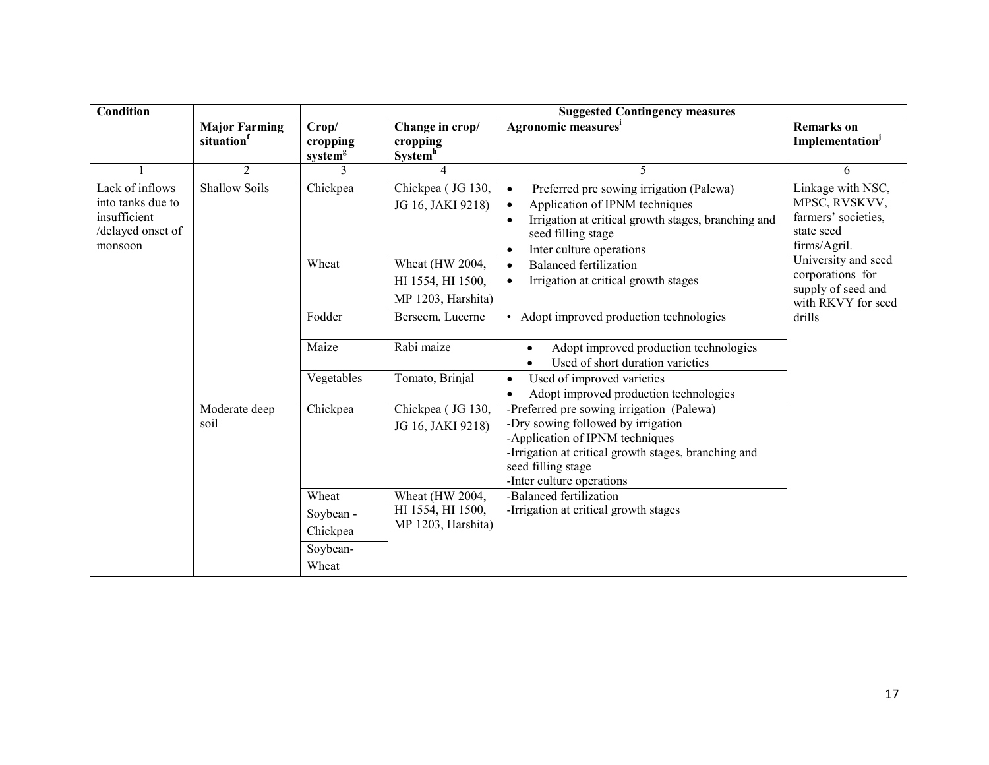| <b>Condition</b>                                                                     |                                   |                                                     | <b>Suggested Contingency measures</b>                      |                                                                                                                                                                                                                                         |                                                                                         |  |
|--------------------------------------------------------------------------------------|-----------------------------------|-----------------------------------------------------|------------------------------------------------------------|-----------------------------------------------------------------------------------------------------------------------------------------------------------------------------------------------------------------------------------------|-----------------------------------------------------------------------------------------|--|
|                                                                                      | <b>Major Farming</b><br>situation | Crop/<br>cropping<br>system <sup>g</sup>            | Change in crop/<br>cropping<br>System <sup>h</sup>         | Agronomic measures <sup>i</sup>                                                                                                                                                                                                         | <b>Remarks</b> on<br><b>Implementation</b> <sup>j</sup>                                 |  |
|                                                                                      | 2                                 | 3                                                   | $\overline{4}$                                             | 5                                                                                                                                                                                                                                       | 6                                                                                       |  |
| Lack of inflows<br>into tanks due to<br>insufficient<br>/delayed onset of<br>monsoon | <b>Shallow Soils</b>              | Chickpea                                            | Chickpea (JG 130,<br>JG 16, JAKI 9218)                     | Preferred pre sowing irrigation (Palewa)<br>$\bullet$<br>Application of IPNM techniques<br>$\bullet$<br>Irrigation at critical growth stages, branching and<br>$\bullet$<br>seed filling stage<br>Inter culture operations<br>$\bullet$ | Linkage with NSC,<br>MPSC, RVSKVV,<br>farmers' societies,<br>state seed<br>firms/Agril. |  |
|                                                                                      |                                   | Wheat                                               | Wheat (HW 2004,<br>HI 1554, HI 1500,<br>MP 1203, Harshita) | <b>Balanced fertilization</b><br>$\bullet$<br>Irrigation at critical growth stages<br>$\bullet$                                                                                                                                         | University and seed<br>corporations for<br>supply of seed and<br>with RKVY for seed     |  |
|                                                                                      |                                   | Fodder                                              | Berseem, Lucerne                                           | • Adopt improved production technologies                                                                                                                                                                                                | drills                                                                                  |  |
|                                                                                      |                                   | Maize                                               | Rabi maize                                                 | Adopt improved production technologies<br>$\bullet$<br>Used of short duration varieties                                                                                                                                                 |                                                                                         |  |
|                                                                                      |                                   | Vegetables                                          | Tomato, Brinjal                                            | Used of improved varieties<br>$\bullet$<br>Adopt improved production technologies                                                                                                                                                       |                                                                                         |  |
|                                                                                      | Chickpea<br>Moderate deep<br>soil |                                                     | Chickpea (JG 130,<br>JG 16, JAKI 9218)                     | -Preferred pre sowing irrigation (Palewa)<br>-Dry sowing followed by irrigation<br>-Application of IPNM techniques<br>-Irrigation at critical growth stages, branching and<br>seed filling stage<br>-Inter culture operations           |                                                                                         |  |
|                                                                                      |                                   | Wheat<br>Soybean -<br>Chickpea<br>Soybean-<br>Wheat | Wheat (HW 2004,<br>HI 1554, HI 1500,<br>MP 1203, Harshita) | -Balanced fertilization<br>-Irrigation at critical growth stages                                                                                                                                                                        |                                                                                         |  |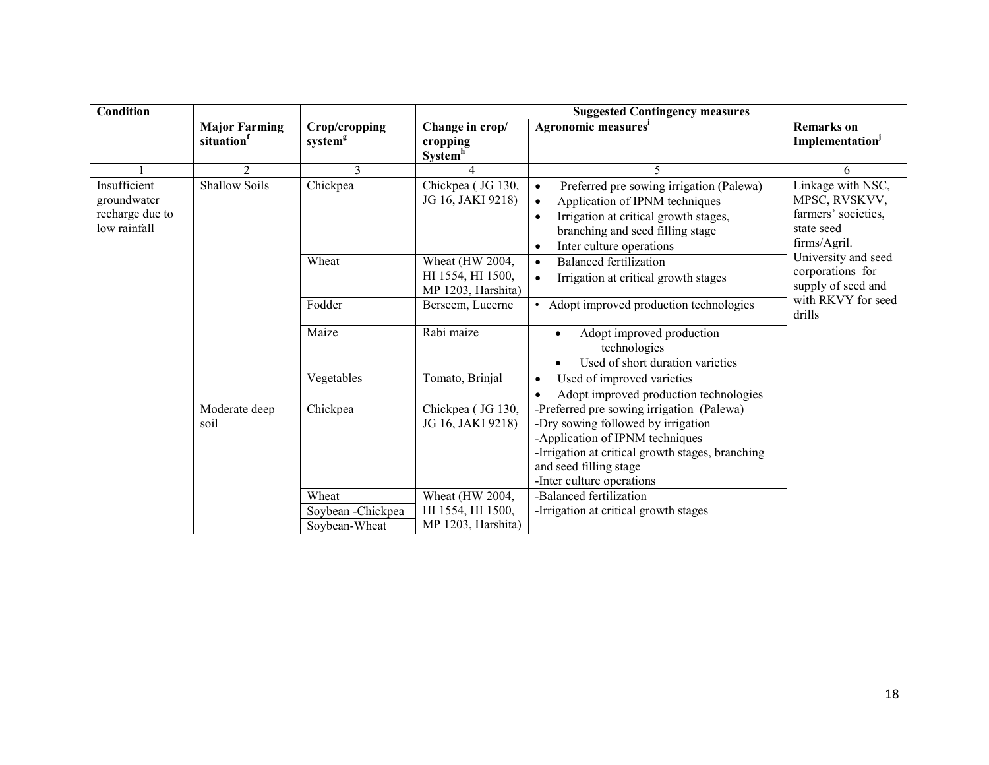| <b>Condition</b>                                               |                                   |                                      | <b>Suggested Contingency measures</b>                      |                                                                                                                                                                                                                               |                                                                                         |  |
|----------------------------------------------------------------|-----------------------------------|--------------------------------------|------------------------------------------------------------|-------------------------------------------------------------------------------------------------------------------------------------------------------------------------------------------------------------------------------|-----------------------------------------------------------------------------------------|--|
|                                                                | <b>Major Farming</b><br>situation | Crop/cropping<br>system <sup>g</sup> | Change in crop/<br>cropping<br><b>System</b> <sup>h</sup>  | Agronomic measures <sup>i</sup>                                                                                                                                                                                               | <b>Remarks</b> on<br>Implementation                                                     |  |
|                                                                | $\overline{2}$                    | $\mathcal{E}$                        |                                                            | $\varsigma$                                                                                                                                                                                                                   | 6                                                                                       |  |
| Insufficient<br>groundwater<br>recharge due to<br>low rainfall | <b>Shallow Soils</b>              | Chickpea                             | Chickpea (JG 130,<br>JG 16, JAKI 9218)                     | Preferred pre sowing irrigation (Palewa)<br>$\bullet$<br>Application of IPNM techniques<br>Irrigation at critical growth stages,<br>branching and seed filling stage<br>Inter culture operations                              | Linkage with NSC,<br>MPSC, RVSKVV,<br>farmers' societies,<br>state seed<br>firms/Agril. |  |
|                                                                |                                   | Wheat                                | Wheat (HW 2004,<br>HI 1554, HI 1500,<br>MP 1203, Harshita) | <b>Balanced fertilization</b><br>$\bullet$<br>Irrigation at critical growth stages<br>$\bullet$                                                                                                                               | University and seed<br>corporations for<br>supply of seed and                           |  |
|                                                                |                                   | Fodder                               | Berseem, Lucerne                                           | • Adopt improved production technologies                                                                                                                                                                                      | with RKVY for seed<br>drills                                                            |  |
|                                                                |                                   | Maize                                | Rabi maize                                                 | Adopt improved production<br>technologies<br>Used of short duration varieties                                                                                                                                                 |                                                                                         |  |
|                                                                |                                   | Vegetables                           | Tomato, Brinjal                                            | Used of improved varieties<br>$\bullet$<br>Adopt improved production technologies                                                                                                                                             |                                                                                         |  |
|                                                                | Moderate deep<br>soil             | Chickpea                             | Chickpea (JG 130,<br>JG 16, JAKI 9218)                     | -Preferred pre sowing irrigation (Palewa)<br>-Dry sowing followed by irrigation<br>-Application of IPNM techniques<br>-Irrigation at critical growth stages, branching<br>and seed filling stage<br>-Inter culture operations |                                                                                         |  |
|                                                                |                                   | Wheat                                | Wheat (HW 2004,                                            | -Balanced fertilization                                                                                                                                                                                                       |                                                                                         |  |
|                                                                |                                   | Soybean - Chickpea                   | HI 1554, HI 1500,                                          | -Irrigation at critical growth stages                                                                                                                                                                                         |                                                                                         |  |
|                                                                |                                   | Soybean-Wheat                        | MP 1203, Harshita)                                         |                                                                                                                                                                                                                               |                                                                                         |  |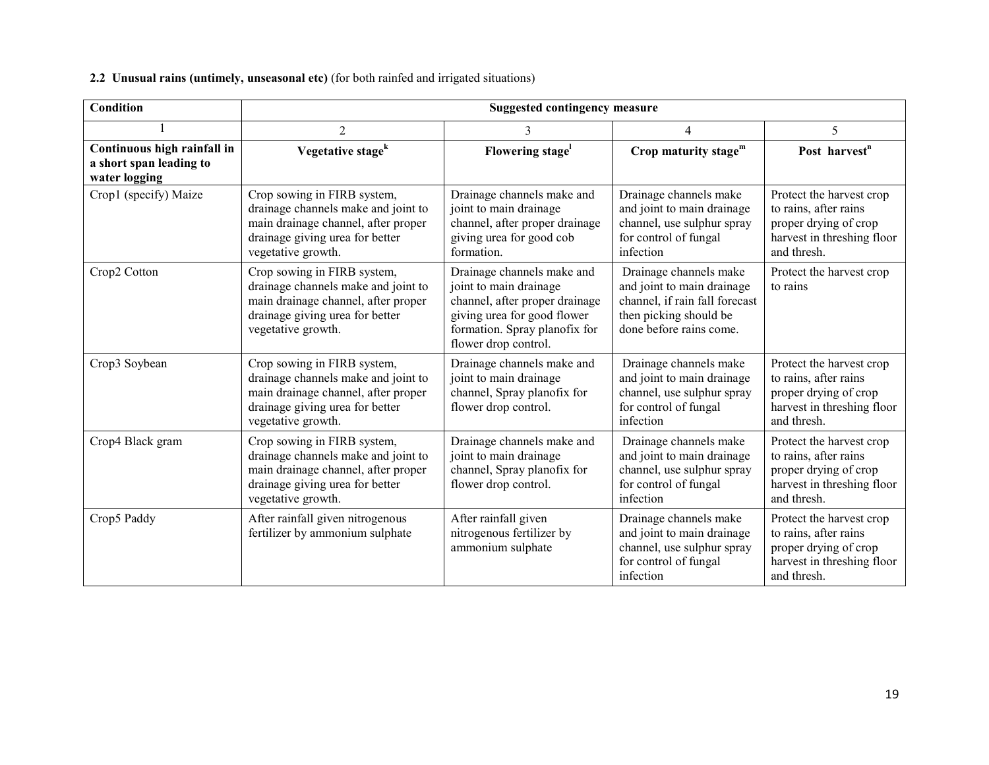### **2.2 Unusual rains (untimely, unseasonal etc)** (for both rainfed and irrigated situations)

| <b>Condition</b>                                                        |                                                                                                                                                                    | <b>Suggested contingency measure</b>                                                                                                                                           |                                                                                                                                             |                                                                                                                         |  |
|-------------------------------------------------------------------------|--------------------------------------------------------------------------------------------------------------------------------------------------------------------|--------------------------------------------------------------------------------------------------------------------------------------------------------------------------------|---------------------------------------------------------------------------------------------------------------------------------------------|-------------------------------------------------------------------------------------------------------------------------|--|
|                                                                         | $\overline{2}$                                                                                                                                                     | 3                                                                                                                                                                              | $\overline{4}$                                                                                                                              | 5                                                                                                                       |  |
| Continuous high rainfall in<br>a short span leading to<br>water logging | Vegetative stage <sup>k</sup>                                                                                                                                      | Flowering stage                                                                                                                                                                | Crop maturity stage $m$                                                                                                                     | Post harvest <sup>n</sup>                                                                                               |  |
| Crop1 (specify) Maize                                                   | Crop sowing in FIRB system,<br>drainage channels make and joint to<br>main drainage channel, after proper<br>drainage giving urea for better<br>vegetative growth. | Drainage channels make and<br>joint to main drainage<br>channel, after proper drainage<br>giving urea for good cob<br>formation.                                               | Drainage channels make<br>and joint to main drainage<br>channel, use sulphur spray<br>for control of fungal<br>infection                    | Protect the harvest crop<br>to rains, after rains<br>proper drying of crop<br>harvest in threshing floor<br>and thresh. |  |
| Crop2 Cotton                                                            | Crop sowing in FIRB system,<br>drainage channels make and joint to<br>main drainage channel, after proper<br>drainage giving urea for better<br>vegetative growth. | Drainage channels make and<br>joint to main drainage<br>channel, after proper drainage<br>giving urea for good flower<br>formation. Spray planofix for<br>flower drop control. | Drainage channels make<br>and joint to main drainage<br>channel, if rain fall forecast<br>then picking should be<br>done before rains come. | Protect the harvest crop<br>to rains                                                                                    |  |
| Crop3 Soybean                                                           | Crop sowing in FIRB system,<br>drainage channels make and joint to<br>main drainage channel, after proper<br>drainage giving urea for better<br>vegetative growth. | Drainage channels make and<br>joint to main drainage<br>channel, Spray planofix for<br>flower drop control.                                                                    | Drainage channels make<br>and joint to main drainage<br>channel, use sulphur spray<br>for control of fungal<br>infection                    | Protect the harvest crop<br>to rains, after rains<br>proper drying of crop<br>harvest in threshing floor<br>and thresh. |  |
| Crop4 Black gram                                                        | Crop sowing in FIRB system,<br>drainage channels make and joint to<br>main drainage channel, after proper<br>drainage giving urea for better<br>vegetative growth. | Drainage channels make and<br>joint to main drainage<br>channel, Spray planofix for<br>flower drop control.                                                                    | Drainage channels make<br>and joint to main drainage<br>channel, use sulphur spray<br>for control of fungal<br>infection                    | Protect the harvest crop<br>to rains, after rains<br>proper drying of crop<br>harvest in threshing floor<br>and thresh. |  |
| Crop5 Paddy                                                             | After rainfall given nitrogenous<br>fertilizer by ammonium sulphate                                                                                                | After rainfall given<br>nitrogenous fertilizer by<br>ammonium sulphate                                                                                                         | Drainage channels make<br>and joint to main drainage<br>channel, use sulphur spray<br>for control of fungal<br>infection                    | Protect the harvest crop<br>to rains, after rains<br>proper drying of crop<br>harvest in threshing floor<br>and thresh. |  |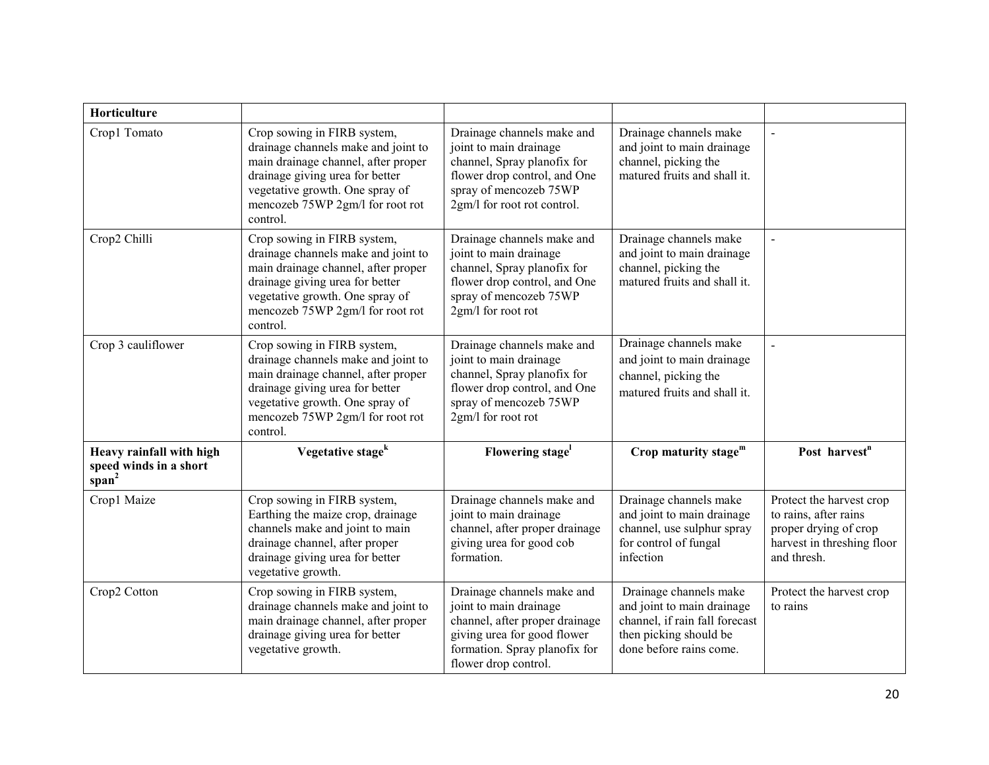| Horticulture                                                            |                                                                                                                                                                                                                                 |                                                                                                                                                                                |                                                                                                                                             |                                                                                                                         |
|-------------------------------------------------------------------------|---------------------------------------------------------------------------------------------------------------------------------------------------------------------------------------------------------------------------------|--------------------------------------------------------------------------------------------------------------------------------------------------------------------------------|---------------------------------------------------------------------------------------------------------------------------------------------|-------------------------------------------------------------------------------------------------------------------------|
| Crop1 Tomato                                                            | Crop sowing in FIRB system,<br>drainage channels make and joint to<br>main drainage channel, after proper<br>drainage giving urea for better<br>vegetative growth. One spray of<br>mencozeb 75WP 2gm/l for root rot<br>control. | Drainage channels make and<br>joint to main drainage<br>channel, Spray planofix for<br>flower drop control, and One<br>spray of mencozeb 75WP<br>2gm/l for root rot control.   | Drainage channels make<br>and joint to main drainage<br>channel, picking the<br>matured fruits and shall it.                                |                                                                                                                         |
| Crop2 Chilli                                                            | Crop sowing in FIRB system,<br>drainage channels make and joint to<br>main drainage channel, after proper<br>drainage giving urea for better<br>vegetative growth. One spray of<br>mencozeb 75WP 2gm/l for root rot<br>control. | Drainage channels make and<br>joint to main drainage<br>channel, Spray planofix for<br>flower drop control, and One<br>spray of mencozeb 75WP<br>2gm/l for root rot            | Drainage channels make<br>and joint to main drainage<br>channel, picking the<br>matured fruits and shall it.                                |                                                                                                                         |
| Crop 3 cauliflower                                                      | Crop sowing in FIRB system,<br>drainage channels make and joint to<br>main drainage channel, after proper<br>drainage giving urea for better<br>vegetative growth. One spray of<br>mencozeb 75WP 2gm/l for root rot<br>control. | Drainage channels make and<br>joint to main drainage<br>channel, Spray planofix for<br>flower drop control, and One<br>spray of mencozeb 75WP<br>2gm/l for root rot            | Drainage channels make<br>and joint to main drainage<br>channel, picking the<br>matured fruits and shall it.                                |                                                                                                                         |
| Heavy rainfall with high<br>speed winds in a short<br>span <sup>2</sup> | Vegetative stage <sup>k</sup>                                                                                                                                                                                                   | Flowering stage <sup>1</sup>                                                                                                                                                   | Crop maturity stage $m$                                                                                                                     | Post harvest <sup>n</sup>                                                                                               |
| Crop1 Maize                                                             | Crop sowing in FIRB system,<br>Earthing the maize crop, drainage<br>channels make and joint to main<br>drainage channel, after proper<br>drainage giving urea for better<br>vegetative growth.                                  | Drainage channels make and<br>joint to main drainage<br>channel, after proper drainage<br>giving urea for good cob<br>formation.                                               | Drainage channels make<br>and joint to main drainage<br>channel, use sulphur spray<br>for control of fungal<br>infection                    | Protect the harvest crop<br>to rains, after rains<br>proper drying of crop<br>harvest in threshing floor<br>and thresh. |
| Crop2 Cotton                                                            | Crop sowing in FIRB system,<br>drainage channels make and joint to<br>main drainage channel, after proper<br>drainage giving urea for better<br>vegetative growth.                                                              | Drainage channels make and<br>joint to main drainage<br>channel, after proper drainage<br>giving urea for good flower<br>formation. Spray planofix for<br>flower drop control. | Drainage channels make<br>and joint to main drainage<br>channel, if rain fall forecast<br>then picking should be<br>done before rains come. | Protect the harvest crop<br>to rains                                                                                    |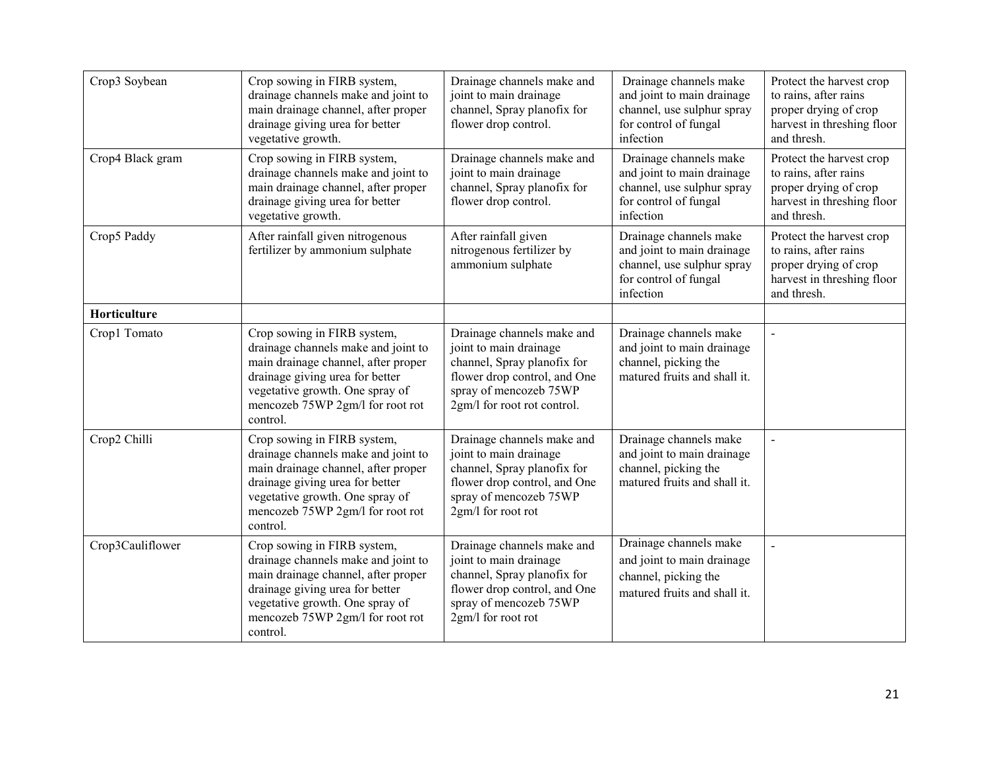| Crop3 Soybean    | Crop sowing in FIRB system,<br>drainage channels make and joint to<br>main drainage channel, after proper<br>drainage giving urea for better<br>vegetative growth.                                                              | Drainage channels make and<br>joint to main drainage<br>channel, Spray planofix for<br>flower drop control.                                                                  | Drainage channels make<br>and joint to main drainage<br>channel, use sulphur spray<br>for control of fungal<br>infection | Protect the harvest crop<br>to rains, after rains<br>proper drying of crop<br>harvest in threshing floor<br>and thresh. |
|------------------|---------------------------------------------------------------------------------------------------------------------------------------------------------------------------------------------------------------------------------|------------------------------------------------------------------------------------------------------------------------------------------------------------------------------|--------------------------------------------------------------------------------------------------------------------------|-------------------------------------------------------------------------------------------------------------------------|
| Crop4 Black gram | Crop sowing in FIRB system,<br>drainage channels make and joint to<br>main drainage channel, after proper<br>drainage giving urea for better<br>vegetative growth.                                                              | Drainage channels make and<br>joint to main drainage<br>channel, Spray planofix for<br>flower drop control.                                                                  | Drainage channels make<br>and joint to main drainage<br>channel, use sulphur spray<br>for control of fungal<br>infection | Protect the harvest crop<br>to rains, after rains<br>proper drying of crop<br>harvest in threshing floor<br>and thresh. |
| Crop5 Paddy      | After rainfall given nitrogenous<br>fertilizer by ammonium sulphate                                                                                                                                                             | After rainfall given<br>nitrogenous fertilizer by<br>ammonium sulphate                                                                                                       | Drainage channels make<br>and joint to main drainage<br>channel, use sulphur spray<br>for control of fungal<br>infection | Protect the harvest crop<br>to rains, after rains<br>proper drying of crop<br>harvest in threshing floor<br>and thresh. |
| Horticulture     |                                                                                                                                                                                                                                 |                                                                                                                                                                              |                                                                                                                          |                                                                                                                         |
| Crop1 Tomato     | Crop sowing in FIRB system,<br>drainage channels make and joint to<br>main drainage channel, after proper<br>drainage giving urea for better<br>vegetative growth. One spray of<br>mencozeb 75WP 2gm/l for root rot<br>control. | Drainage channels make and<br>joint to main drainage<br>channel, Spray planofix for<br>flower drop control, and One<br>spray of mencozeb 75WP<br>2gm/l for root rot control. | Drainage channels make<br>and joint to main drainage<br>channel, picking the<br>matured fruits and shall it.             | $\sim$                                                                                                                  |
| Crop2 Chilli     | Crop sowing in FIRB system,<br>drainage channels make and joint to<br>main drainage channel, after proper<br>drainage giving urea for better<br>vegetative growth. One spray of<br>mencozeb 75WP 2gm/l for root rot<br>control. | Drainage channels make and<br>joint to main drainage<br>channel, Spray planofix for<br>flower drop control, and One<br>spray of mencozeb 75WP<br>2gm/l for root rot          | Drainage channels make<br>and joint to main drainage<br>channel, picking the<br>matured fruits and shall it.             | $\blacksquare$                                                                                                          |
| Crop3Cauliflower | Crop sowing in FIRB system,<br>drainage channels make and joint to<br>main drainage channel, after proper<br>drainage giving urea for better<br>vegetative growth. One spray of<br>mencozeb 75WP 2gm/l for root rot<br>control. | Drainage channels make and<br>joint to main drainage<br>channel, Spray planofix for<br>flower drop control, and One<br>spray of mencozeb 75WP<br>2gm/l for root rot          | Drainage channels make<br>and joint to main drainage<br>channel, picking the<br>matured fruits and shall it.             |                                                                                                                         |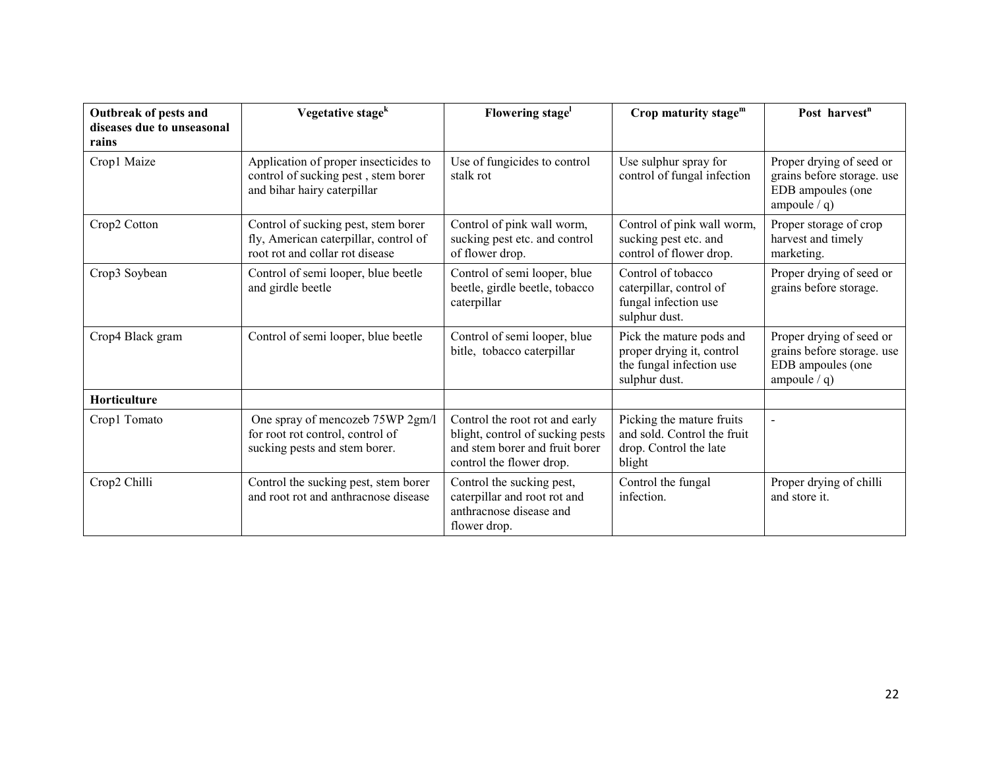| Outbreak of pests and<br>diseases due to unseasonal | Vegetative stage <sup>k</sup>                                                                                   | Flowering stage                                                                                                                  | Crop maturity stage <sup>m</sup>                                                                   | Post harvest <sup>n</sup>                                                                     |
|-----------------------------------------------------|-----------------------------------------------------------------------------------------------------------------|----------------------------------------------------------------------------------------------------------------------------------|----------------------------------------------------------------------------------------------------|-----------------------------------------------------------------------------------------------|
| rains<br>Crop1 Maize                                | Application of proper insecticides to<br>control of sucking pest, stem borer<br>and bihar hairy caterpillar     | Use of fungicides to control<br>stalk rot                                                                                        | Use sulphur spray for<br>control of fungal infection                                               | Proper drying of seed or<br>grains before storage. use<br>EDB ampoules (one<br>ampoule $/q$ ) |
| Crop2 Cotton                                        | Control of sucking pest, stem borer<br>fly, American caterpillar, control of<br>root rot and collar rot disease | Control of pink wall worm,<br>sucking pest etc. and control<br>of flower drop.                                                   | Control of pink wall worm,<br>sucking pest etc. and<br>control of flower drop.                     | Proper storage of crop<br>harvest and timely<br>marketing.                                    |
| Crop3 Soybean                                       | Control of semi looper, blue beetle<br>and girdle beetle                                                        | Control of semi looper, blue<br>beetle, girdle beetle, tobacco<br>caterpillar                                                    | Control of tobacco<br>caterpillar, control of<br>fungal infection use<br>sulphur dust.             | Proper drying of seed or<br>grains before storage.                                            |
| Crop4 Black gram                                    | Control of semi looper, blue beetle                                                                             | Control of semi looper, blue<br>bitle, tobacco caterpillar                                                                       | Pick the mature pods and<br>proper drying it, control<br>the fungal infection use<br>sulphur dust. | Proper drying of seed or<br>grains before storage. use<br>EDB ampoules (one<br>ampoule $/q$ ) |
| Horticulture                                        |                                                                                                                 |                                                                                                                                  |                                                                                                    |                                                                                               |
| Crop1 Tomato                                        | One spray of mencozeb 75WP 2gm/l<br>for root rot control, control of<br>sucking pests and stem borer.           | Control the root rot and early<br>blight, control of sucking pests<br>and stem borer and fruit borer<br>control the flower drop. | Picking the mature fruits<br>and sold. Control the fruit<br>drop. Control the late<br>blight       |                                                                                               |
| Crop2 Chilli                                        | Control the sucking pest, stem borer<br>and root rot and anthracnose disease                                    | Control the sucking pest,<br>caterpillar and root rot and<br>anthracnose disease and<br>flower drop.                             | Control the fungal<br>infection.                                                                   | Proper drying of chilli<br>and store it.                                                      |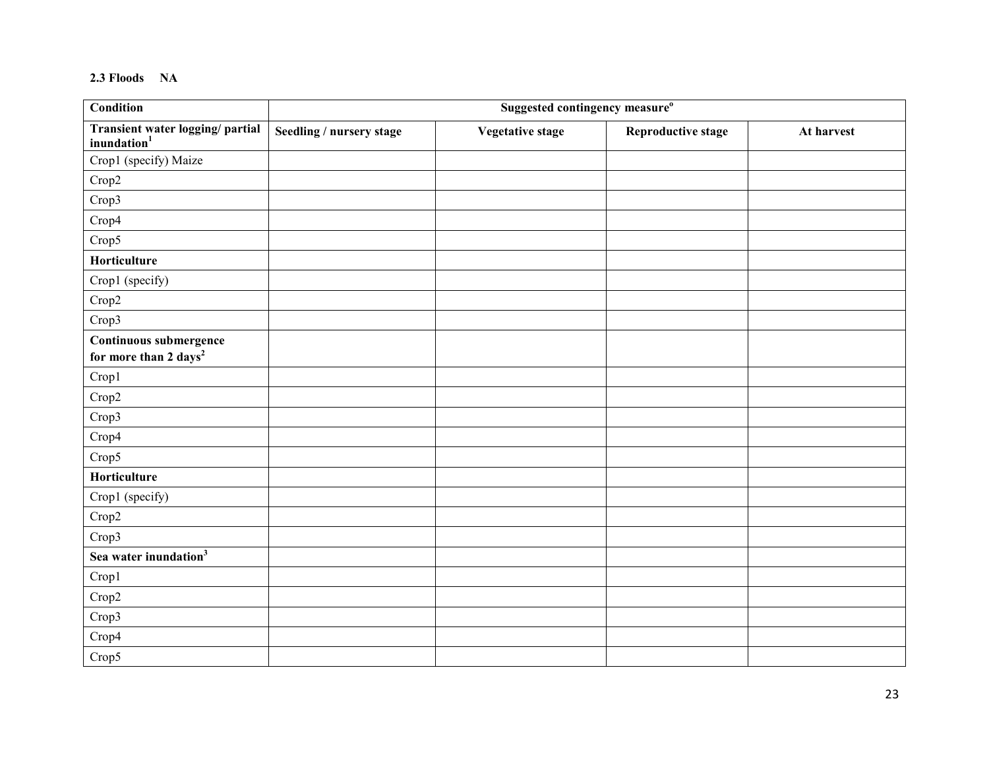#### **2.3 Floods NA**

| <b>Condition</b>                                            | Suggested contingency measure <sup>o</sup> |                         |                           |            |  |  |
|-------------------------------------------------------------|--------------------------------------------|-------------------------|---------------------------|------------|--|--|
| Transient water logging/ partial<br>inundation <sup>1</sup> | Seedling / nursery stage                   | <b>Vegetative stage</b> | <b>Reproductive stage</b> | At harvest |  |  |
| Crop1 (specify) Maize                                       |                                            |                         |                           |            |  |  |
| Crop2                                                       |                                            |                         |                           |            |  |  |
| Crop3                                                       |                                            |                         |                           |            |  |  |
| Crop4                                                       |                                            |                         |                           |            |  |  |
| Crop5                                                       |                                            |                         |                           |            |  |  |
| Horticulture                                                |                                            |                         |                           |            |  |  |
| Crop1 (specify)                                             |                                            |                         |                           |            |  |  |
| Crop2                                                       |                                            |                         |                           |            |  |  |
| Crop3                                                       |                                            |                         |                           |            |  |  |
| Continuous submergence<br>for more than 2 days <sup>2</sup> |                                            |                         |                           |            |  |  |
| Crop1                                                       |                                            |                         |                           |            |  |  |
| Crop2                                                       |                                            |                         |                           |            |  |  |
| Crop3                                                       |                                            |                         |                           |            |  |  |
| Crop4                                                       |                                            |                         |                           |            |  |  |
| Crop5                                                       |                                            |                         |                           |            |  |  |
| Horticulture                                                |                                            |                         |                           |            |  |  |
| Crop1 (specify)                                             |                                            |                         |                           |            |  |  |
| Crop2                                                       |                                            |                         |                           |            |  |  |
| Crop3                                                       |                                            |                         |                           |            |  |  |
| Sea water inundation <sup>3</sup>                           |                                            |                         |                           |            |  |  |
| Crop1                                                       |                                            |                         |                           |            |  |  |
| Crop2                                                       |                                            |                         |                           |            |  |  |
| Crop3                                                       |                                            |                         |                           |            |  |  |
| Crop4                                                       |                                            |                         |                           |            |  |  |
| Crop5                                                       |                                            |                         |                           |            |  |  |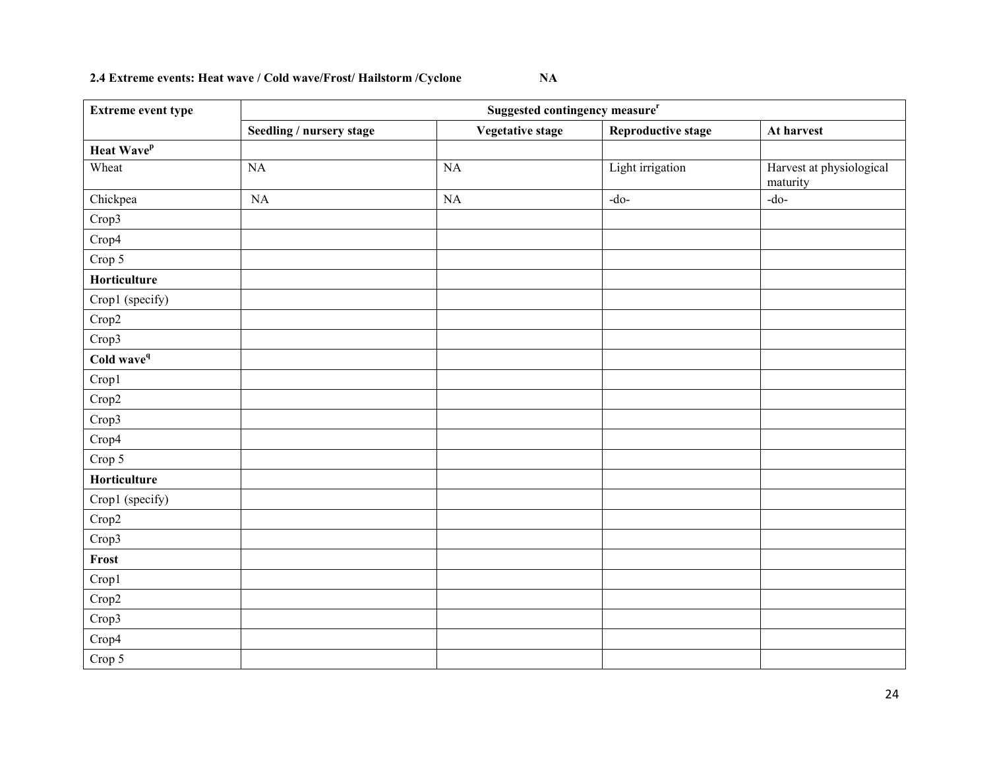#### **2.4 Extreme events: Heat wave / Cold wave/Frost/ Hailstorm /Cyclone NA**

| <b>Extreme event type</b> | Suggested contingency measure <sup>r</sup> |                         |                    |                                      |  |
|---------------------------|--------------------------------------------|-------------------------|--------------------|--------------------------------------|--|
|                           | Seedling / nursery stage                   | <b>Vegetative stage</b> | Reproductive stage | At harvest                           |  |
| Heat Wave <sup>p</sup>    |                                            |                         |                    |                                      |  |
| Wheat                     | <b>NA</b>                                  | <b>NA</b>               | Light irrigation   | Harvest at physiological<br>maturity |  |
| Chickpea                  | NA                                         | NA                      | $-do-$             | $-do-$                               |  |
| Crop3                     |                                            |                         |                    |                                      |  |
| Crop4                     |                                            |                         |                    |                                      |  |
| Crop 5                    |                                            |                         |                    |                                      |  |
| Horticulture              |                                            |                         |                    |                                      |  |
| Crop1 (specify)           |                                            |                         |                    |                                      |  |
| Crop2                     |                                            |                         |                    |                                      |  |
| Crop3                     |                                            |                         |                    |                                      |  |
| Cold wave <sup>q</sup>    |                                            |                         |                    |                                      |  |
| Crop1                     |                                            |                         |                    |                                      |  |
| Crop2                     |                                            |                         |                    |                                      |  |
| Crop3                     |                                            |                         |                    |                                      |  |
| Crop4                     |                                            |                         |                    |                                      |  |
| Crop 5                    |                                            |                         |                    |                                      |  |
| Horticulture              |                                            |                         |                    |                                      |  |
| Crop1 (specify)           |                                            |                         |                    |                                      |  |
| Crop2                     |                                            |                         |                    |                                      |  |
| Crop3                     |                                            |                         |                    |                                      |  |
| Frost                     |                                            |                         |                    |                                      |  |
| Crop1                     |                                            |                         |                    |                                      |  |
| Crop2                     |                                            |                         |                    |                                      |  |
| Crop3                     |                                            |                         |                    |                                      |  |
| Crop4                     |                                            |                         |                    |                                      |  |
| Crop 5                    |                                            |                         |                    |                                      |  |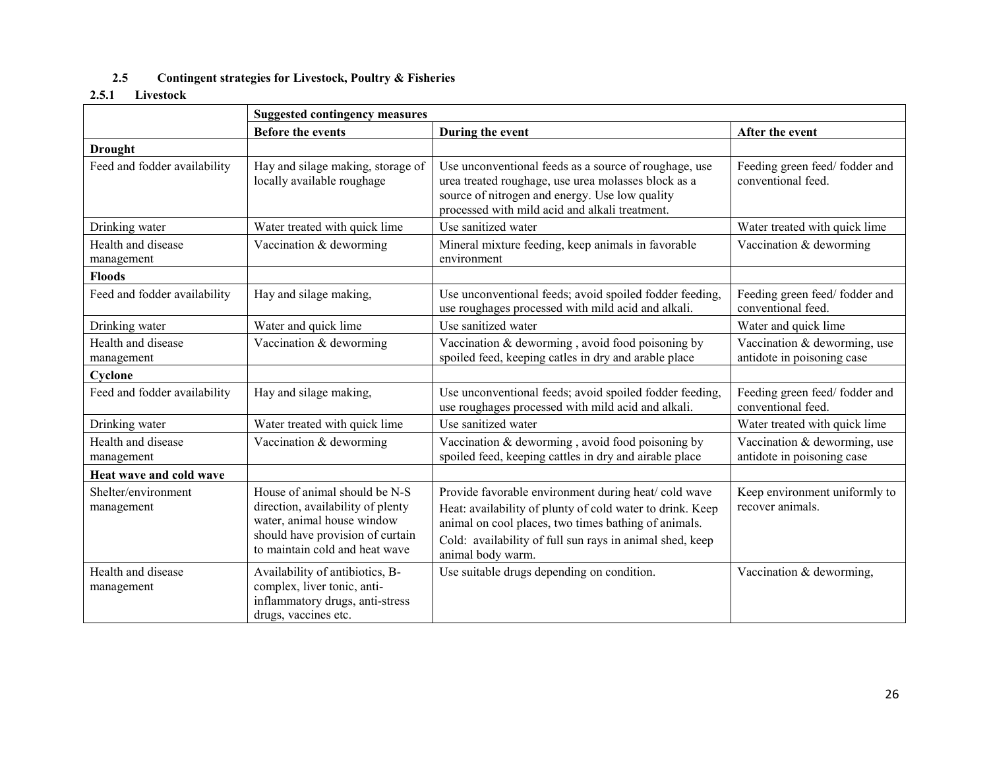#### **2.5Contingent strategies for Livestock, Poultry & Fisheries**

#### **2.5.1 Livestock**

|                                   | <b>Suggested contingency measures</b>                                                                                                                                  |                                                                                                                                                                                                                                                            |                                                            |
|-----------------------------------|------------------------------------------------------------------------------------------------------------------------------------------------------------------------|------------------------------------------------------------------------------------------------------------------------------------------------------------------------------------------------------------------------------------------------------------|------------------------------------------------------------|
|                                   | <b>Before the events</b>                                                                                                                                               | During the event                                                                                                                                                                                                                                           | After the event                                            |
| <b>Drought</b>                    |                                                                                                                                                                        |                                                                                                                                                                                                                                                            |                                                            |
| Feed and fodder availability      | Hay and silage making, storage of<br>locally available roughage                                                                                                        | Use unconventional feeds as a source of roughage, use<br>urea treated roughage, use urea molasses block as a<br>source of nitrogen and energy. Use low quality<br>processed with mild acid and alkali treatment.                                           | Feeding green feed/fodder and<br>conventional feed.        |
| Drinking water                    | Water treated with quick lime                                                                                                                                          | Use sanitized water                                                                                                                                                                                                                                        | Water treated with quick lime                              |
| Health and disease<br>management  | Vaccination & deworming                                                                                                                                                | Mineral mixture feeding, keep animals in favorable<br>environment                                                                                                                                                                                          | Vaccination & deworming                                    |
| <b>Floods</b>                     |                                                                                                                                                                        |                                                                                                                                                                                                                                                            |                                                            |
| Feed and fodder availability      | Hay and silage making,                                                                                                                                                 | Use unconventional feeds; avoid spoiled fodder feeding,<br>use roughages processed with mild acid and alkali.                                                                                                                                              | Feeding green feed/fodder and<br>conventional feed.        |
| Drinking water                    | Water and quick lime                                                                                                                                                   | Use sanitized water                                                                                                                                                                                                                                        | Water and quick lime                                       |
| Health and disease<br>management  | Vaccination & deworming                                                                                                                                                | Vaccination $&$ deworming, avoid food poisoning by<br>spoiled feed, keeping catles in dry and arable place                                                                                                                                                 | Vaccination & deworming, use<br>antidote in poisoning case |
| Cyclone                           |                                                                                                                                                                        |                                                                                                                                                                                                                                                            |                                                            |
| Feed and fodder availability      | Hay and silage making,                                                                                                                                                 | Use unconventional feeds; avoid spoiled fodder feeding,<br>use roughages processed with mild acid and alkali.                                                                                                                                              | Feeding green feed/fodder and<br>conventional feed.        |
| Drinking water                    | Water treated with quick lime                                                                                                                                          | Use sanitized water                                                                                                                                                                                                                                        | Water treated with quick lime                              |
| Health and disease<br>management  | Vaccination & deworming                                                                                                                                                | Vaccination & deworming, avoid food poisoning by<br>spoiled feed, keeping cattles in dry and airable place                                                                                                                                                 | Vaccination & deworming, use<br>antidote in poisoning case |
| Heat wave and cold wave           |                                                                                                                                                                        |                                                                                                                                                                                                                                                            |                                                            |
| Shelter/environment<br>management | House of animal should be N-S<br>direction, availability of plenty<br>water, animal house window<br>should have provision of curtain<br>to maintain cold and heat wave | Provide favorable environment during heat/ cold wave<br>Heat: availability of plunty of cold water to drink. Keep<br>animal on cool places, two times bathing of animals.<br>Cold: availability of full sun rays in animal shed, keep<br>animal body warm. | Keep environment uniformly to<br>recover animals.          |
| Health and disease<br>management  | Availability of antibiotics, B-<br>complex, liver tonic, anti-<br>inflammatory drugs, anti-stress<br>drugs, vaccines etc.                                              | Use suitable drugs depending on condition.                                                                                                                                                                                                                 | Vaccination & deworming,                                   |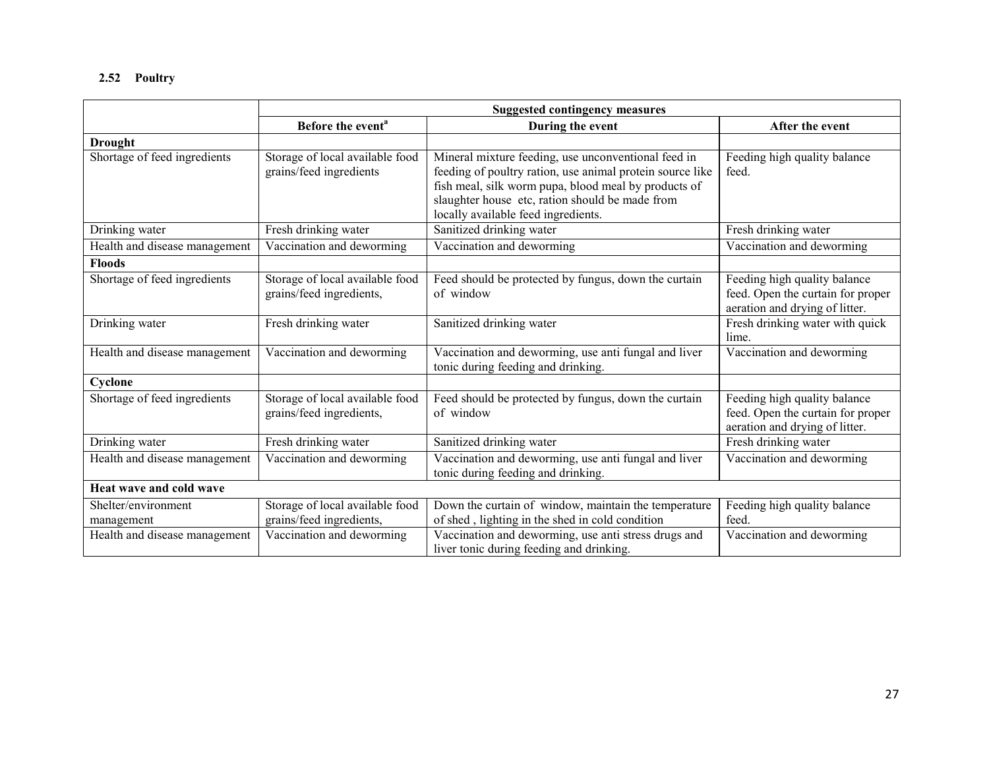#### **2.52 Poultry**

|                                   | <b>Suggested contingency measures</b>                       |                                                                                                                                                                                                                                                                    |                                                                                                     |
|-----------------------------------|-------------------------------------------------------------|--------------------------------------------------------------------------------------------------------------------------------------------------------------------------------------------------------------------------------------------------------------------|-----------------------------------------------------------------------------------------------------|
|                                   | Before the event <sup>a</sup>                               | During the event                                                                                                                                                                                                                                                   | After the event                                                                                     |
| <b>Drought</b>                    |                                                             |                                                                                                                                                                                                                                                                    |                                                                                                     |
| Shortage of feed ingredients      | Storage of local available food<br>grains/feed ingredients  | Mineral mixture feeding, use unconventional feed in<br>feeding of poultry ration, use animal protein source like<br>fish meal, silk worm pupa, blood meal by products of<br>slaughter house etc, ration should be made from<br>locally available feed ingredients. | Feeding high quality balance<br>feed.                                                               |
| Drinking water                    | Fresh drinking water                                        | Sanitized drinking water                                                                                                                                                                                                                                           | Fresh drinking water                                                                                |
| Health and disease management     | Vaccination and deworming                                   | Vaccination and deworming                                                                                                                                                                                                                                          | Vaccination and deworming                                                                           |
| <b>Floods</b>                     |                                                             |                                                                                                                                                                                                                                                                    |                                                                                                     |
| Shortage of feed ingredients      | Storage of local available food<br>grains/feed ingredients, | Feed should be protected by fungus, down the curtain<br>of window                                                                                                                                                                                                  | Feeding high quality balance<br>feed. Open the curtain for proper<br>aeration and drying of litter. |
| Drinking water                    | Fresh drinking water                                        | Sanitized drinking water                                                                                                                                                                                                                                           | Fresh drinking water with quick<br>lime.                                                            |
| Health and disease management     | Vaccination and deworming                                   | Vaccination and deworming, use anti fungal and liver<br>tonic during feeding and drinking.                                                                                                                                                                         | Vaccination and deworming                                                                           |
| Cyclone                           |                                                             |                                                                                                                                                                                                                                                                    |                                                                                                     |
| Shortage of feed ingredients      | Storage of local available food<br>grains/feed ingredients, | Feed should be protected by fungus, down the curtain<br>of window                                                                                                                                                                                                  | Feeding high quality balance<br>feed. Open the curtain for proper<br>aeration and drying of litter. |
| Drinking water                    | Fresh drinking water                                        | Sanitized drinking water                                                                                                                                                                                                                                           | Fresh drinking water                                                                                |
| Health and disease management     | Vaccination and deworming                                   | Vaccination and deworming, use anti fungal and liver<br>tonic during feeding and drinking.                                                                                                                                                                         | Vaccination and deworming                                                                           |
| Heat wave and cold wave           |                                                             |                                                                                                                                                                                                                                                                    |                                                                                                     |
| Shelter/environment<br>management | Storage of local available food<br>grains/feed ingredients, | Down the curtain of window, maintain the temperature<br>of shed, lighting in the shed in cold condition                                                                                                                                                            | Feeding high quality balance<br>feed.                                                               |
| Health and disease management     | Vaccination and deworming                                   | Vaccination and deworming, use anti stress drugs and<br>liver tonic during feeding and drinking.                                                                                                                                                                   | Vaccination and deworming                                                                           |